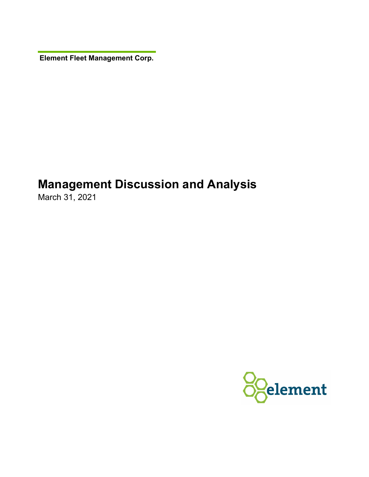**Element Fleet Management Corp.** 

# **Management Discussion and Analysis**

March 31, 2021

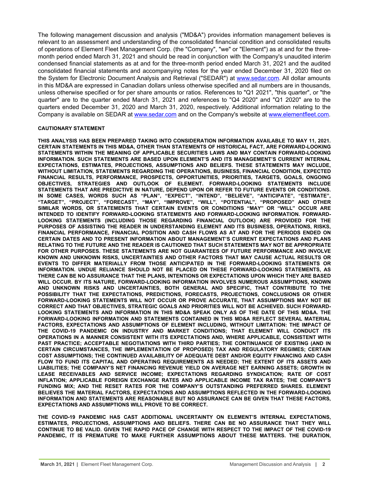The following management discussion and analysis ("MD&A") provides information management believes is relevant to an assessment and understanding of the consolidated financial condition and consolidated results of operations of Element Fleet Management Corp. (the "Company", "we" or "Element") as at and for the threemonth period ended March 31, 2021 and should be read in conjunction with the Company's unaudited interim condensed financial statements as at and for the three-month period ended March 31, 2021 and the audited consolidated financial statements and accompanying notes for the year ended December 31, 2020 filed on the System for Electronic Document Analysis and Retrieval ("SEDAR") at [www.sedar.com.](http://www.sedar.com) All dollar amounts in this MD&A are expressed in Canadian dollars unless otherwise specified and all numbers are in thousands, unless otherwise specified or for per share amounts or ratios. References to "Q1 2021", "this quarter", or "the quarter" are to the quarter ended March 31, 2021 and references to "Q4 2020" and "Q1 2020" are to the quarters ended December 31, 2020 and March 31, 2020, respectively. Additional information relating to the Company is available on SEDAR at [www.sedar.com](http://www.sedar.com) and on the Company's website at [www.elementfleet.com.](http://www.elementfleet.com)

#### **CAUTIONARY STATEMENT**

**THIS ANALYSIS HAS BEEN PREPARED TAKING INTO CONSIDERATION INFORMATION AVAILABLE TO MAY 11, 2021. CERTAIN STATEMENTS IN THIS MD&A, OTHER THAN STATEMENTS OF HISTORICAL FACT, ARE FORWARD-LOOKING STATEMENTS WITHIN THE MEANING OF APPLICABLE SECURITIES LAWS AND MAY CONTAIN FORWARD-LOOKING INFORMATION. SUCH STATEMENTS ARE BASED UPON ELEMENT'S AND ITS MANAGEMENT'S CURRENT INTERNAL EXPECTATIONS, ESTIMATES, PROJECTIONS, ASSUMPTIONS AND BELIEFS. THESE STATEMENTS MAY INCLUDE, WITHOUT LIMITATION, STATEMENTS REGARDING THE OPERATIONS, BUSINESS, FINANCIAL CONDITION, EXPECTED FINANCIAL RESULTS, PERFORMANCE, PROSPECTS, OPPORTUNITIES, PRIORITIES, TARGETS, GOALS, ONGOING OBJECTIVES, STRATEGIES AND OUTLOOK OF ELEMENT. FORWARD-LOOKING STATEMENTS INCLUDE STATEMENTS THAT ARE PREDICTIVE IN NATURE, DEPEND UPON OR REFER TO FUTURE EVENTS OR CONDITIONS. IN SOME CASES, WORDS SUCH AS "PLAN", "EXPECT", "INTEND", "BELIEVE", "ANTICIPATE", "ESTIMATE", "TARGET", "PROJECT", "FORECAST", "MAY", "IMPROVE", "WILL", "POTENTIAL", "PROPOSED" AND OTHER SIMILAR WORDS, OR STATEMENTS THAT CERTAIN EVENTS OR CONDITIONS "MAY" OR "WILL" OCCUR ARE INTENDED TO IDENTIFY FORWARD-LOOKING STATEMENTS AND FORWARD-LOOKING INFORMATION. FORWARD-LOOKING STATEMENTS (INCLUDING THOSE REGARDING FINANCIAL OUTLOOK) ARE PROVIDED FOR THE PURPOSES OF ASSISTING THE READER IN UNDERSTANDING ELEMENT AND ITS BUSINESS, OPERATIONS, RISKS, FINANCIAL PERFORMANCE, FINANCIAL POSITION AND CASH FLOWS AS AT AND FOR THE PERIODS ENDED ON CERTAIN DATES AND TO PRESENT INFORMATION ABOUT MANAGEMENT'S CURRENT EXPECTATIONS AND PLANS RELATING TO THE FUTURE AND THE READER IS CAUTIONED THAT SUCH STATEMENTS MAY NOT BE APPROPRIATE FOR OTHER PURPOSES. THESE STATEMENTS ARE NOT GUARANTEES OF FUTURE PERFORMANCE AND INVOLVE KNOWN AND UNKNOWN RISKS, UNCERTAINTIES AND OTHER FACTORS THAT MAY CAUSE ACTUAL RESULTS OR EVENTS TO DIFFER MATERIALLY FROM THOSE ANTICIPATED IN THE FORWARD-LOOKING STATEMENTS OR INFORMATION. UNDUE RELIANCE SHOULD NOT BE PLACED ON THESE FORWARD-LOOKING STATEMENTS, AS THERE CAN BE NO ASSURANCE THAT THE PLANS, INTENTIONS OR EXPECTATIONS UPON WHICH THEY ARE BASED WILL OCCUR. BY ITS NATURE, FORWARD-LOOKING INFORMATION INVOLVES NUMEROUS ASSUMPTIONS, KNOWN AND UNKNOWN RISKS AND UNCERTAINTIES, BOTH GENERAL AND SPECIFIC, THAT CONTRIBUTE TO THE POSSIBILITY THAT THE EXPECTATIONS, PREDICTIONS, FORECASTS, PROJECTIONS, CONCLUSIONS OR OTHER FORWARD-LOOKING STATEMENTS WILL NOT OCCUR OR PROVE ACCURATE, THAT ASSUMPTIONS MAY NOT BE CORRECT AND THAT OBJECTIVES, STRATEGIC GOALS AND PRIORITIES WILL NOT BE ACHIEVED. SUCH FORWARD-LOOKING STATEMENTS AND INFORMATION IN THIS MD&A SPEAK ONLY AS OF THE DATE OF THIS MD&A. THE FORWARD-LOOKING INFORMATION AND STATEMENTS CONTAINED IN THIS MD&A REFLECT SEVERAL MATERIAL FACTORS, EXPECTATIONS AND ASSUMPTIONS OF ELEMENT INCLUDING, WITHOUT LIMITATION: THE IMPACT OF THE COVID-19 PANDEMIC ON INDUSTRY AND MARKET CONDITIONS; THAT ELEMENT WILL CONDUCT ITS OPERATIONS IN A MANNER CONSISTENT WITH ITS EXPECTATIONS AND, WHERE APPLICABLE, CONSISTENT WITH PAST PRACTICE; ACCEPTABLE NEGOTIATIONS WITH THIRD PARTIES; THE CONTINUANCE OF EXISTING (AND IN CERTAIN CIRCUMSTANCES, THE IMPLEMENTATION OF PROPOSED) TAX AND REGULATORY REGIMES; CERTAIN COST ASSUMPTIONS; THE CONTINUED AVAILABILITY OF ADEQUATE DEBT AND/OR EQUITY FINANCING AND CASH FLOW TO FUND ITS CAPITAL AND OPERATING REQUIREMENTS AS NEEDED; THE EXTENT OF ITS ASSETS AND LIABILITIES; THE COMPANY'S NET FINANCING REVENUE YIELD ON AVERAGE NET EARNING ASSETS; GROWTH IN LEASE RECEIVABLES AND SERVICE INCOME; EXPECTATIONS REGARDING SYNDICATION; RATE OF COST INFLATION; APPLICABLE FOREIGN EXCHANGE RATES AND APPLICABLE INCOME TAX RATES; THE COMPANY'S FUNDING MIX; AND THE RESET RATES FOR THE COMPANY'S OUTSTANDING PREFERRED SHARES. ELEMENT BELIEVES THE MATERIAL FACTORS, EXPECTATIONS AND ASSUMPTIONS REFLECTED IN THE FORWARD-LOOKING INFORMATION AND STATEMENTS ARE REASONABLE BUT NO ASSURANCE CAN BE GIVEN THAT THESE FACTORS, EXPECTATIONS AND ASSUMPTIONS WILL PROVE TO BE CORRECT.**

**THE COVID-19 PANDEMIC HAS CAST ADDITIONAL UNCERTAINTY ON ELEMENT'S INTERNAL EXPECTATIONS, ESTIMATES, PROJECTIONS, ASSUMPTIONS AND BELIEFS. THERE CAN BE NO ASSURANCE THAT THEY WILL CONTINUE TO BE VALID. GIVEN THE RAPID PACE OF CHANGE WITH RESPECT TO THE IMPACT OF THE COVID-19 PANDEMIC, IT IS PREMATURE TO MAKE FURTHER ASSUMPTIONS ABOUT THESE MATTERS. THE DURATION,**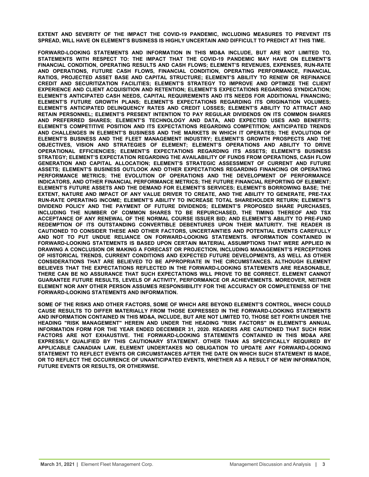**EXTENT AND SEVERITY OF THE IMPACT THE COVID-19 PANDEMIC, INCLUDING MEASURES TO PREVENT ITS SPREAD, WILL HAVE ON ELEMENT'S BUSINESS IS HIGHLY UNCERTAIN AND DIFFICULT TO PREDICT AT THIS TIME.**

**FORWARD-LOOKING STATEMENTS AND INFORMATION IN THIS MD&A INCLUDE, BUT ARE NOT LIMITED TO, STATEMENTS WITH RESPECT TO: THE IMPACT THAT THE COVID-19 PANDEMIC MAY HAVE ON ELEMENT'S FINANCIAL CONDITION, OPERATING RESULTS AND CASH FLOWS; ELEMENT'S REVENUES, EXPENSES, RUN-RATE AND OPERATIONS, FUTURE CASH FLOWS, FINANCIAL CONDITION, OPERATING PERFORMANCE, FINANCIAL RATIOS, PROJECTED ASSET BASE AND CAPITAL STRUCTURE; ELEMENT'S ABILITY TO RENEW OR REFINANCE CREDIT AND SECURITIZATION FACILITIES; ELEMENT'S STRATEGY TO IMPROVE AND OPTIMIZE THE CLIENT EXPERIENCE AND CLIENT ACQUISITION AND RETENTION; ELEMENT'S EXPECTATIONS REGARDING SYNDICATION; ELEMENT'S ANTICIPATED CASH NEEDS, CAPITAL REQUIREMENTS AND ITS NEEDS FOR ADDITIONAL FINANCING; ELEMENT'S FUTURE GROWTH PLANS; ELEMENT'S EXPECTATIONS REGARDING ITS ORIGINATION VOLUMES; ELEMENT'S ANTICIPATED DELINQUENCY RATES AND CREDIT LOSSES; ELEMENT'S ABILITY TO ATTRACT AND RETAIN PERSONNEL; ELEMENT'S PRESENT INTENTION TO PAY REGULAR DIVIDENDS ON ITS COMMON SHARES AND PREFERRED SHARES; ELEMENT'S TECHNOLOGY AND DATA, AND EXPECTED USES AND BENEFITS; ELEMENT'S COMPETITIVE POSITION AND ITS EXPECTATIONS REGARDING COMPETITION; ANTICIPATED TRENDS AND CHALLENGES IN ELEMENT'S BUSINESS AND THE MARKETS IN WHICH IT OPERATES; THE EVOLUTION OF ELEMENT'S BUSINESS AND THE FLEET MANAGEMENT INDUSTRY; ELEMENT'S GROWTH PROSPECTS AND THE OBJECTIVES, VISION AND STRATEGIES OF ELEMENT; ELEMENT'S OPERATIONS AND ABILITY TO DRIVE OPERATIONAL EFFICIENCIES; ELEMENT'S EXPECTATIONS REGARDING ITS ASSETS; ELEMENT'S BUSINESS STRATEGY; ELEMENT'S EXPECTATION REGARDING THE AVAILABILITY OF FUNDS FROM OPERATIONS, CASH FLOW GENERATION AND CAPITAL ALLOCATION; ELEMENT'S STRATEGIC ASSESSMENT OF CURRENT AND FUTURE ASSETS; ELEMENT'S BUSINESS OUTLOOK AND OTHER EXPECTATIONS REGARDING FINANCING OR OPERATING PERFORMANCE METRICS; THE EVOLUTION OF OPERATIONS AND THE DEVELOPMENT OF PERFORMANCE INDICATORS, AND OTHER FINANCIAL PERFORMANCE METRICS; THE FUTURE FINANCIAL REPORTING OF ELEMENT; ELEMENT'S FUTURE ASSETS AND THE DEMAND FOR ELEMENT'S SERVICES; ELEMENT'S BORROWING BASE; THE EXTENT, NATURE AND IMPACT OF ANY VALUE DRIVER TO CREATE, AND THE ABILITY TO GENERATE, PRE-TAX RUN-RATE OPERATING INCOME; ELEMENT'S ABILITY TO INCREASE TOTAL SHAREHOLDER RETURN; ELEMENT'S DIVIDEND POLICY AND THE PAYMENT OF FUTURE DIVIDENDS; ELEMENT'S PROPOSED SHARE PURCHASES, INCLUDING THE NUMBER OF COMMON SHARES TO BE REPURCHASED, THE TIMING THEREOF AND TSX ACCEPTANCE OF ANY RENEWAL OF THE NORMAL COURSE ISSUER BID; AND ELEMENT'S ABILITY TO PRE-FUND REDEMPTION OF ITS OUTSTANDING CONVERTIBLE DEBENTURES UPON THEIR MATURITY. THE READER IS CAUTIONED TO CONSIDER THESE AND OTHER FACTORS, UNCERTAINTIES AND POTENTIAL EVENTS CAREFULLY AND NOT TO PUT UNDUE RELIANCE ON FORWARD-LOOKING STATEMENTS. INFORMATION CONTAINED IN FORWARD-LOOKING STATEMENTS IS BASED UPON CERTAIN MATERIAL ASSUMPTIONS THAT WERE APPLIED IN DRAWING A CONCLUSION OR MAKING A FORECAST OR PROJECTION, INCLUDING MANAGEMENT'S PERCEPTIONS OF HISTORICAL TRENDS, CURRENT CONDITIONS AND EXPECTED FUTURE DEVELOPMENTS, AS WELL AS OTHER CONSIDERATIONS THAT ARE BELIEVED TO BE APPROPRIATE IN THE CIRCUMSTANCES. ALTHOUGH ELEMENT BELIEVES THAT THE EXPECTATIONS REFLECTED IN THE FORWARD-LOOKING STATEMENTS ARE REASONABLE, THERE CAN BE NO ASSURANCE THAT SUCH EXPECTATIONS WILL PROVE TO BE CORRECT. ELEMENT CANNOT GUARANTEE FUTURE RESULTS, LEVELS OF ACTIVITY, PERFORMANCE OR ACHIEVEMENTS. MOREOVER, NEITHER ELEMENT NOR ANY OTHER PERSON ASSUMES RESPONSIBILITY FOR THE ACCURACY OR COMPLETENESS OF THE FORWARD-LOOKING STATEMENTS AND INFORMATION.** 

**SOME OF THE RISKS AND OTHER FACTORS, SOME OF WHICH ARE BEYOND ELEMENT'S CONTROL, WHICH COULD CAUSE RESULTS TO DIFFER MATERIALLY FROM THOSE EXPRESSED IN THE FORWARD-LOOKING STATEMENTS AND INFORMATION CONTAINED IN THIS MD&A, INCLUDE, BUT ARE NOT LIMITED TO, THOSE SET FORTH UNDER THE HEADING "RISK MANAGEMENT" HEREIN AND UNDER THE HEADING "RISK FACTORS" IN ELEMENT'S ANNUAL INFORMATION FORM FOR THE YEAR ENDED DECEMBER 31, 2020. READERS ARE CAUTIONED THAT SUCH RISK FACTORS ARE NOT EXHAUSTIVE. THE FORWARD-LOOKING STATEMENTS CONTAINED IN THIS MD&A ARE EXPRESSLY QUALIFIED BY THIS CAUTIONARY STATEMENT. OTHER THAN AS SPECIFICALLY REQUIRED BY APPLICABLE CANADIAN LAW, ELEMENT UNDERTAKES NO OBLIGATION TO UPDATE ANY FORWARD-LOOKING STATEMENT TO REFLECT EVENTS OR CIRCUMSTANCES AFTER THE DATE ON WHICH SUCH STATEMENT IS MADE, OR TO REFLECT THE OCCURRENCE OF UNANTICIPATED EVENTS, WHETHER AS A RESULT OF NEW INFORMATION, FUTURE EVENTS OR RESULTS, OR OTHERWISE.**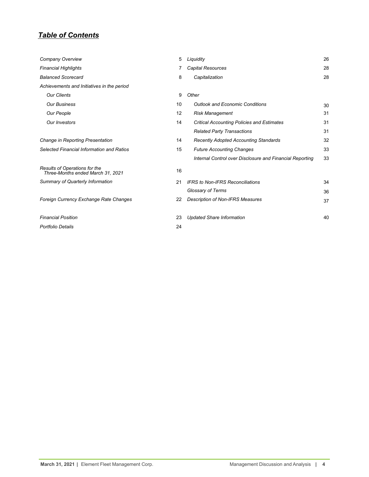# *Table of Contents*

| Company Overview                                                   | 5  | Liquidity                                                | 26 |
|--------------------------------------------------------------------|----|----------------------------------------------------------|----|
| <b>Financial Highlights</b>                                        |    | Capital Resources                                        | 28 |
| <b>Balanced Scorecard</b>                                          | 8  | Capitalization                                           | 28 |
| Achievements and Initiatives in the period                         |    |                                                          |    |
| <b>Our Clients</b>                                                 | 9  | Other                                                    |    |
| <b>Our Business</b>                                                | 10 | <b>Outlook and Economic Conditions</b>                   | 30 |
| Our People                                                         | 12 | <b>Risk Management</b>                                   | 31 |
| <b>Our Investors</b>                                               | 14 | <b>Critical Accounting Policies and Estimates</b>        | 31 |
|                                                                    |    | <b>Related Party Transactions</b>                        | 31 |
| Change in Reporting Presentation                                   | 14 | <b>Recently Adopted Accounting Standards</b>             | 32 |
| Selected Financial Information and Ratios                          | 15 | <b>Future Accounting Changes</b>                         | 33 |
|                                                                    |    | Internal Control over Disclosure and Financial Reporting | 33 |
| Results of Operations for the<br>Three-Months ended March 31, 2021 | 16 |                                                          |    |
| Summary of Quarterly Information                                   | 21 | <b>IFRS to Non-IFRS Reconciliations</b>                  | 34 |
|                                                                    |    | Glossary of Terms                                        | 36 |
| Foreign Currency Exchange Rate Changes                             | 22 | <b>Description of Non-IFRS Measures</b>                  | 37 |
| <b>Financial Position</b>                                          | 23 | <b>Updated Share Information</b>                         | 40 |
| <b>Portfolio Details</b>                                           | 24 |                                                          |    |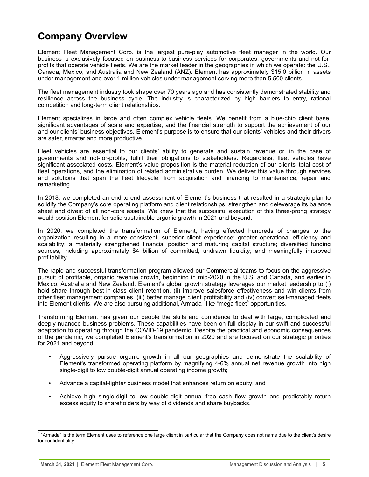# <span id="page-4-0"></span>**Company Overview**

Element Fleet Management Corp. is the largest pure-play automotive fleet manager in the world. Our business is exclusively focused on business-to-business services for corporates, governments and not-forprofits that operate vehicle fleets. We are the market leader in the geographies in which we operate: the U.S., Canada, Mexico, and Australia and New Zealand (ANZ). Element has approximately \$15.0 billion in assets under management and over 1 million vehicles under management serving more than 5,500 clients.

The fleet management industry took shape over 70 years ago and has consistently demonstrated stability and resilience across the business cycle. The industry is characterized by high barriers to entry, rational competition and long-term client relationships.

Element specializes in large and often complex vehicle fleets. We benefit from a blue-chip client base, significant advantages of scale and expertise, and the financial strength to support the achievement of our and our clients' business objectives. Element's purpose is to ensure that our clients' vehicles and their drivers are safer, smarter and more productive.

Fleet vehicles are essential to our clients' ability to generate and sustain revenue or, in the case of governments and not-for-profits, fulfill their obligations to stakeholders. Regardless, fleet vehicles have significant associated costs. Element's value proposition is the material reduction of our clients' total cost of fleet operations, and the elimination of related administrative burden. We deliver this value through services and solutions that span the fleet lifecycle, from acquisition and financing to maintenance, repair and remarketing.

In 2018, we completed an end-to-end assessment of Element's business that resulted in a strategic plan to solidify the Company's core operating platform and client relationships, strengthen and deleverage its balance sheet and divest of all non-core assets. We knew that the successful execution of this three-prong strategy would position Element for solid sustainable organic growth in 2021 and beyond.

In 2020, we completed the transformation of Element, having effected hundreds of changes to the organization resulting in a more consistent, superior client experience; greater operational efficiency and scalability; a materially strengthened financial position and maturing capital structure; diversified funding sources, including approximately \$4 billion of committed, undrawn liquidity; and meaningfully improved profitability.

The rapid and successful transformation program allowed our Commercial teams to focus on the aggressive pursuit of profitable, organic revenue growth, beginning in mid-2020 in the U.S. and Canada, and earlier in Mexico, Australia and New Zealand. Element's global growth strategy leverages our market leadership to (i) hold share through best-in-class client retention, (ii) improve salesforce effectiveness and win clients from other fleet management companies, (iii) better manage client profitability and (iv) convert self-managed fleets into Element clients. We are also pursuing additional, Armada<sup>1</sup>-like "mega fleet" opportunities.

Transforming Element has given our people the skills and confidence to deal with large, complicated and deeply nuanced business problems. These capabilities have been on full display in our swift and successful adaptation to operating through the COVID-19 pandemic. Despite the practical and economic consequences of the pandemic, we completed Element's transformation in 2020 and are focused on our strategic priorities for 2021 and beyond:

- Aggressively pursue organic growth in all our geographies and demonstrate the scalability of Element's transformed operating platform by magnifying 4-6% annual net revenue growth into high single-digit to low double-digit annual operating income growth;
- Advance a capital-light*er* business model that enhances return on equity; and
- Achieve high single-digit to low double-digit annual free cash flow growth and predictably return excess equity to shareholders by way of dividends and share buybacks.

<sup>&</sup>lt;sup>1</sup> "Armada" is the term Element uses to reference one large client in particular that the Company does not name due to the client's desire for confidentiality.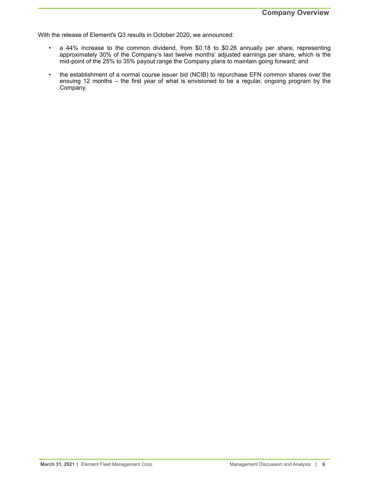With the release of Element's Q3 results in October 2020, we announced:

- a 44% increase to the common dividend, from \$0.18 to \$0.26 annually per share, representing approximately 30% of the Company's last twelve months' adjusted earnings per share, which is the mid-point of the 25% to 35% payout range the Company plans to maintain going forward; and
- the establishment of a normal course issuer bid (NCIB) to repurchase EFN common shares over the ensuing 12 months – the first year of what is envisioned to be a regular, ongoing program by the Company.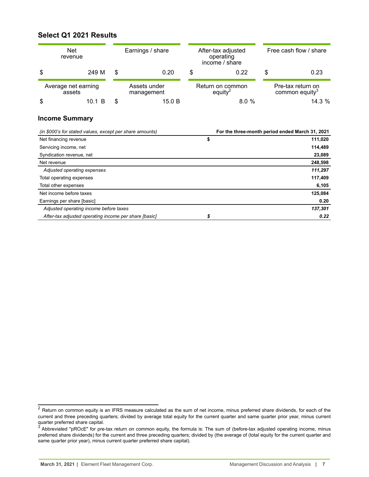# <span id="page-6-0"></span>**Select Q1 2021 Results**

|                               | <b>Net</b><br>Earnings / share<br>revenue |    |                            | After-tax adjusted<br>operating<br>income / share |                                         | Free cash flow / share |                                                 |
|-------------------------------|-------------------------------------------|----|----------------------------|---------------------------------------------------|-----------------------------------------|------------------------|-------------------------------------------------|
| \$                            | 249 M                                     | \$ | 0.20                       | S                                                 | 0.22                                    | S                      | 0.23                                            |
| Average net earning<br>assets |                                           |    | Assets under<br>management |                                                   | Return on common<br>equity <sup>2</sup> |                        | Pre-tax return on<br>common equity <sup>3</sup> |
|                               | 10.1 B                                    |    | 15.0 B                     |                                                   | 8.0%                                    |                        | 14.3%                                           |

## **Income Summary**

| (in \$000's for stated values, except per share amounts) | For the three-month period ended March 31, 2021 |
|----------------------------------------------------------|-------------------------------------------------|
| Net financing revenue                                    | \$<br>111,020                                   |
| Servicing income, net                                    | 114,489                                         |
| Syndication revenue, net                                 | 23,089                                          |
| Net revenue                                              | 248,598                                         |
| Adjusted operating expenses                              | 111,297                                         |
| Total operating expenses                                 | 117,409                                         |
| Total other expenses                                     | 6,105                                           |
| Net income before taxes                                  | 125,084                                         |
| Earnings per share [basic]                               | 0.20                                            |
| Adjusted operating income before taxes                   | 137,301                                         |
| After-tax adjusted operating income per share [basic]    | 0.22                                            |

 $^2$  Return on common equity is an IFRS measure calculated as the sum of net income, minus preferred share dividends, for each of the current and three preceding quarters; divided by average total equity for the current quarter and same quarter prior year, minus current quarter preferred share capital.<br><sup>3</sup> Abbreviated "pROcE" for pre-tax return on common equity, the formula is: The sum of (before-tax adjusted operating income, minus

preferred share dividends) for the current and three preceding quarters; divided by (the average of (total equity for the current quarter and same quarter prior year), minus current quarter preferred share capital).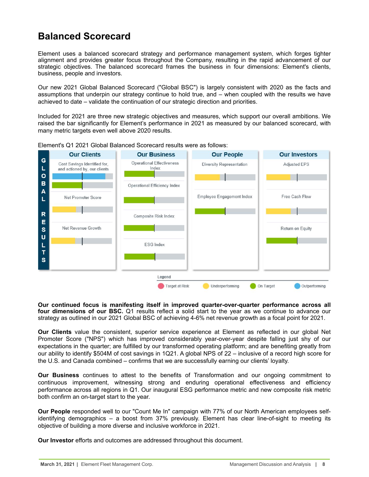# <span id="page-7-0"></span>**Balanced Scorecard**

Element uses a balanced scorecard strategy and performance management system, which forges tighter alignment and provides greater focus throughout the Company, resulting in the rapid advancement of our strategic objectives. The balanced scorecard frames the business in four dimensions: Element's clients, business, people and investors.

Our new 2021 Global Balanced Scorecard ("Global BSC") is largely consistent with 2020 as the facts and assumptions that underpin our strategy continue to hold true, and – when coupled with the results we have achieved to date – validate the continuation of our strategic direction and priorities.

Included for 2021 are three new strategic objectives and measures, which support our overall ambitions. We raised the bar significantly for Element's performance in 2021 as measured by our balanced scorecard, with many metric targets even well above 2020 results.



Element's Q1 2021 Global Balanced Scorecard results were as follows:

**Our continued focus is manifesting itself in improved quarter-over-quarter performance across all four dimensions of our BSC.** Q1 results reflect a solid start to the year as we continue to advance our strategy as outlined in our 2021 Global BSC of achieving 4-6% net revenue growth as a focal point for 2021.

**Our Clients** value the consistent, superior service experience at Element as reflected in our global Net Promoter Score ("NPS") which has improved considerably year-over-year despite falling just shy of our expectations in the quarter; are fulfilled by our transformed operating platform; and are benefiting greatly from our ability to identify \$504M of cost savings in 1Q21. A global NPS of 22 – inclusive of a record high score for the U.S. and Canada combined – confirms that we are successfully earning our clients' loyalty.

**Our Business** continues to attest to the benefits of Transformation and our ongoing commitment to continuous improvement, witnessing strong and enduring operational effectiveness and efficiency performance across all regions in Q1. Our inaugural ESG performance metric and new composite risk metric both confirm an on-target start to the year.

**Our People** responded well to our "Count Me In" campaign with 77% of our North American employees selfidentifying demographics – a boost from 37% previously. Element has clear line-of-sight to meeting its objective of building a more diverse and inclusive workforce in 2021.

**Our Investor** efforts and outcomes are addressed throughout this document.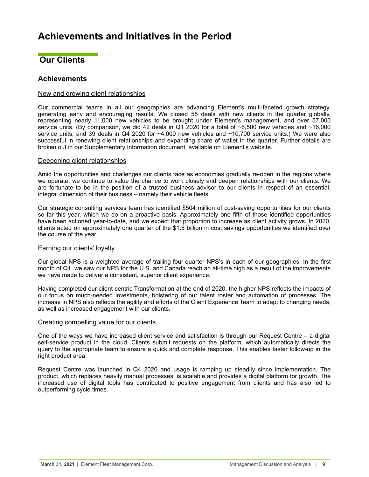# <span id="page-8-0"></span>**Achievements and Initiatives in the Period**

# **Our Clients**

# **Achievements**

### New and growing client relationships

Our commercial teams in all our geographies are advancing Element's multi-faceted growth strategy, generating early and encouraging results. We closed 55 deals with new clients in the quarter globally, representing nearly 11,000 new vehicles to be brought under Element's management, and over 57,000 service units. (By comparison, we did 42 deals in Q1 2020 for a total of ~6,500 new vehicles and ~16,000 service units; and 39 deals in Q4 2020 for ~4,000 new vehicles and ~10,700 service units.) We were also successful in renewing client relationships and expanding share of wallet in the quarter. Further details are broken out in our Supplementary Information document, available on Element's website.

### Deepening client relationships

Amid the opportunities and challenges our clients face as economies gradually re-open in the regions where we operate, we continue to value the chance to work closely and deepen relationships with our clients. We are fortunate to be in the position of a trusted business advisor to our clients in respect of an essential, integral dimension of their business – namely their vehicle fleets.

Our strategic consulting services team has identified \$504 million of cost-saving opportunities for our clients so far this year, which we do on a proactive basis. Approximately one fifth of those identified opportunities have been actioned year-to-date, and we expect that proportion to increase as client activity grows. In 2020, clients acted on approximately one quarter of the \$1.5 billion in cost savings opportunities we identified over the course of the year.

### Earning our clients' loyalty

Our global NPS is a weighted average of trailing-four-quarter NPS's in each of our geographies. In the first month of Q1, we saw our NPS for the U.S. and Canada reach an all-time high as a result of the improvements we have made to deliver a consistent, superior client experience.

Having completed our client-centric Transformation at the end of 2020, the higher NPS reflects the impacts of our focus on much-needed investments, bolstering of our talent roster and automation of processes. The increase in NPS also reflects the agility and efforts of the Client Experience Team to adapt to changing needs, as well as increased engagement with our clients.

### Creating compelling value for our clients

One of the ways we have increased client service and satisfaction is through our Request Centre – a digital self-service product in the cloud. Clients submit requests on the platform, which automatically directs the query to the appropriate team to ensure a quick and complete response. This enables faster follow-up in the right product area.

Request Centre was launched in Q4 2020 and usage is ramping up steadily since implementation. The product, which replaces heavily manual processes, is scalable and provides a digital platform for growth. The increased use of digital tools has contributed to positive engagement from clients and has also led to outperforming cycle times.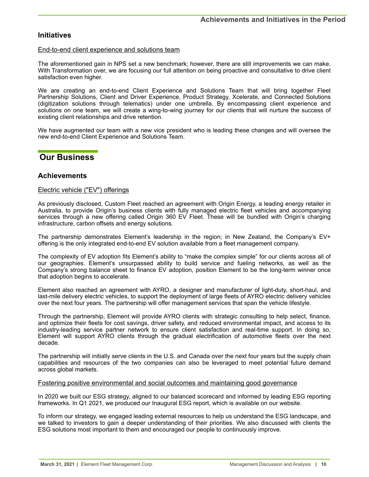# <span id="page-9-0"></span>**Initiatives**

### End-to-end client experience and solutions team

The aforementioned gain in NPS set a new benchmark; however, there are still improvements we can make. With Transformation over, we are focusing our full attention on being proactive and consultative to drive client satisfaction even higher.

We are creating an end-to-end Client Experience and Solutions Team that will bring together Fleet Partnership Solutions, Client and Driver Experience, Product Strategy, Xcelerate, and Connected Solutions (digitization solutions through telematics) under one umbrella. By encompassing client experience and solutions on one team, we will create a wing-to-wing journey for our clients that will nurture the success of existing client relationships and drive retention.

We have augmented our team with a new vice president who is leading these changes and will oversee the new end-to-end Client Experience and Solutions Team.

# **Our Business**

## **Achievements**

### Electric vehicle ("EV") offerings

As previously disclosed, Custom Fleet reached an agreement with Origin Energy, a leading energy retailer in Australia, to provide Origin's business clients with fully managed electric fleet vehicles and accompanying services through a new offering called Origin 360 EV Fleet. These will be bundled with Origin's charging infrastructure, carbon offsets and energy solutions.

The partnership demonstrates Element's leadership in the region; in New Zealand, the Company's EV+ offering is the only integrated end-to-end EV solution available from a fleet management company.

The complexity of EV adoption fits Element's ability to "make the complex simple" for our clients across all of our geographies. Element's unsurpassed ability to build service and fueling networks, as well as the Company's strong balance sheet to finance EV adoption, position Element to be the long-term winner once that adoption begins to accelerate.

Element also reached an agreement with AYRO, a designer and manufacturer of light-duty, short-haul, and last-mile delivery electric vehicles, to support the deployment of large fleets of AYRO electric delivery vehicles over the next four years. The partnership will offer management services that span the vehicle lifestyle.

Through the partnership, Element will provide AYRO clients with strategic consulting to help select, finance, and optimize their fleets for cost savings, driver safety, and reduced environmental impact, and access to its industry-leading service partner network to ensure client satisfaction and real-time support. In doing so, Element will support AYRO clients through the gradual electrification of automotive fleets over the next decade.

The partnership will initially serve clients in the U.S. and Canada over the next four years but the supply chain capabilities and resources of the two companies can also be leveraged to meet potential future demand across global markets.

### Fostering positive environmental and social outcomes and maintaining good governance

In 2020 we built our ESG strategy, aligned to our balanced scorecard and informed by leading ESG reporting frameworks. In Q1 2021, we produced our Inaugural ESG report, which is available on our website.

To inform our strategy, we engaged leading external resources to help us understand the ESG landscape, and we talked to investors to gain a deeper understanding of their priorities. We also discussed with clients the ESG solutions most important to them and encouraged our people to continuously improve.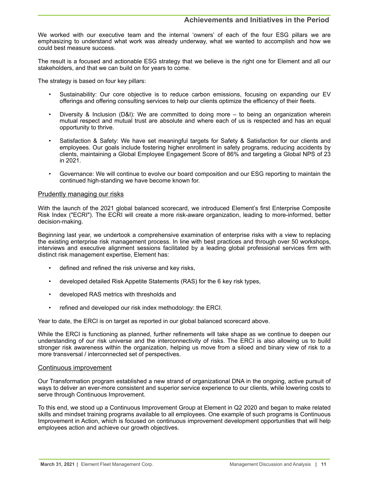# **Achievements and Initiatives in the Period**

We worked with our executive team and the internal 'owners' of each of the four ESG pillars we are emphasizing to understand what work was already underway, what we wanted to accomplish and how we could best measure success.

The result is a focused and actionable ESG strategy that we believe is the right one for Element and all our stakeholders, and that we can build on for years to come.

The strategy is based on four key pillars:

- Sustainability: Our core objective is to reduce carbon emissions, focusing on expanding our EV offerings and offering consulting services to help our clients optimize the efficiency of their fleets.
- Diversity & Inclusion (D&I): We are committed to doing more to being an organization wherein mutual respect and mutual trust are absolute and where each of us is respected and has an equal opportunity to thrive.
- Satisfaction & Safety: We have set meaningful targets for Safety & Satisfaction for our clients and employees. Our goals include fostering higher enrollment in safety programs, reducing accidents by clients, maintaining a Global Employee Engagement Score of 86% and targeting a Global NPS of 23 in 2021.
- Governance: We will continue to evolve our board composition and our ESG reporting to maintain the continued high-standing we have become known for.

### Prudently managing our risks

With the launch of the 2021 global balanced scorecard, we introduced Element's first Enterprise Composite Risk Index ("ECRI"). The ECRI will create a more risk-aware organization, leading to more-informed, better decision-making.

Beginning last year, we undertook a comprehensive examination of enterprise risks with a view to replacing the existing enterprise risk management process. In line with best practices and through over 50 workshops, interviews and executive alignment sessions facilitated by a leading global professional services firm with distinct risk management expertise, Element has:

- defined and refined the risk universe and key risks,
- developed detailed Risk Appetite Statements (RAS) for the 6 key risk types,
- developed RAS metrics with thresholds and
- refined and developed our risk index methodology: the ERCI.

Year to date, the ERCI is on target as reported in our global balanced scorecard above.

While the ERCI is functioning as planned, further refinements will take shape as we continue to deepen our understanding of our risk universe and the interconnectivity of risks. The ERCI is also allowing us to build stronger risk awareness within the organization, helping us move from a siloed and binary view of risk to a more transversal / interconnected set of perspectives.

### Continuous improvement

Our Transformation program established a new strand of organizational DNA in the ongoing, active pursuit of ways to deliver an ever-more consistent and superior service experience to our clients, while lowering costs to serve through Continuous Improvement.

To this end, we stood up a Continuous Improvement Group at Element in Q2 2020 and began to make related skills and mindset training programs available to all employees. One example of such programs is Continuous Improvement in Action, which is focused on continuous improvement development opportunities that will help employees action and achieve our growth objectives.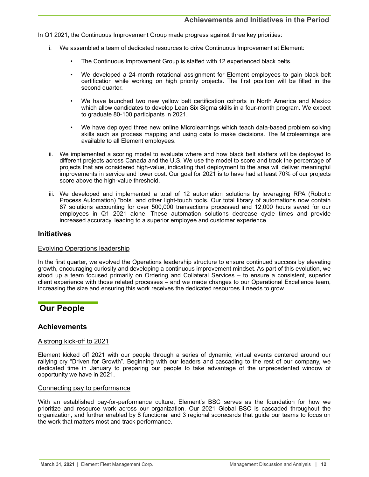<span id="page-11-0"></span>In Q1 2021, the Continuous Improvement Group made progress against three key priorities:

- i. We assembled a team of dedicated resources to drive Continuous Improvement at Element:
	- The Continuous Improvement Group is staffed with 12 experienced black belts.
	- We developed a 24-month rotational assignment for Element employees to gain black belt certification while working on high priority projects. The first position will be filled in the second quarter.
	- We have launched two new yellow belt certification cohorts in North America and Mexico which allow candidates to develop Lean Six Sigma skills in a four-month program. We expect to graduate 80-100 participants in 2021.
	- We have deployed three new online Microlearnings which teach data-based problem solving skills such as process mapping and using data to make decisions. The Microlearnings are available to all Element employees.
- ii. We implemented a scoring model to evaluate where and how black belt staffers will be deployed to different projects across Canada and the U.S. We use the model to score and track the percentage of projects that are considered high-value, indicating that deployment to the area will deliver meaningful improvements in service and lower cost. Our goal for 2021 is to have had at least 70% of our projects score above the high-value threshold.
- iii. We developed and implemented a total of 12 automation solutions by leveraging RPA (Robotic Process Automation) "bots" and other light-touch tools. Our total library of automations now contain 87 solutions accounting for over 500,000 transactions processed and 12,000 hours saved for our employees in Q1 2021 alone. These automation solutions decrease cycle times and provide increased accuracy, leading to a superior employee and customer experience.

## **Initiatives**

### Evolving Operations leadership

In the first quarter, we evolved the Operations leadership structure to ensure continued success by elevating growth, encouraging curiosity and developing a continuous improvement mindset. As part of this evolution, we stood up a team focused primarily on Ordering and Collateral Services – to ensure a consistent, superior client experience with those related processes – and we made changes to our Operational Excellence team, increasing the size and ensuring this work receives the dedicated resources it needs to grow.

# **Our People**

# **Achievements**

### A strong kick-off to 2021

Element kicked off 2021 with our people through a series of dynamic, virtual events centered around our rallying cry "Driven for Growth". Beginning with our leaders and cascading to the rest of our company, we dedicated time in January to preparing our people to take advantage of the unprecedented window of opportunity we have in 2021.

### Connecting pay to performance

With an established pay-for-performance culture, Element's BSC serves as the foundation for how we prioritize and resource work across our organization. Our 2021 Global BSC is cascaded throughout the organization, and further enabled by 8 functional and 3 regional scorecards that guide our teams to focus on the work that matters most and track performance.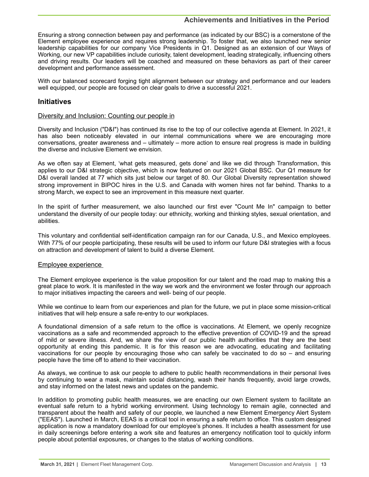# **Achievements and Initiatives in the Period**

Ensuring a strong connection between pay and performance (as indicated by our BSC) is a cornerstone of the Element employee experience and requires strong leadership. To foster that, we also launched new senior leadership capabilities for our company Vice Presidents in Q1. Designed as an extension of our Ways of Working, our new VP capabilities include curiosity, talent development, leading strategically, influencing others and driving results. Our leaders will be coached and measured on these behaviors as part of their career development and performance assessment.

With our balanced scorecard forging tight alignment between our strategy and performance and our leaders well equipped, our people are focused on clear goals to drive a successful 2021.

### **Initiatives**

### Diversity and Inclusion: Counting our people in

Diversity and Inclusion ("D&I") has continued its rise to the top of our collective agenda at Element. In 2021, it has also been noticeably elevated in our internal communications where we are encouraging more conversations, greater awareness and – ultimately – more action to ensure real progress is made in building the diverse and inclusive Element we envision.

As we often say at Element, 'what gets measured, gets done' and like we did through Transformation, this applies to our D&I strategic objective, which is now featured on our 2021 Global BSC. Our Q1 measure for D&I overall landed at 77 which sits just below our target of 80. Our Global Diversity representation showed strong improvement in BIPOC hires in the U.S. and Canada with women hires not far behind. Thanks to a strong March, we expect to see an improvement in this measure next quarter.

In the spirit of further measurement, we also launched our first ever "Count Me In" campaign to better understand the diversity of our people today: our ethnicity, working and thinking styles, sexual orientation, and abilities.

This voluntary and confidential self-identification campaign ran for our Canada, U.S., and Mexico employees. With 77% of our people participating, these results will be used to inform our future D&I strategies with a focus on attraction and development of talent to build a diverse Element.

### Employee experience

The Element employee experience is the value proposition for our talent and the road map to making this a great place to work. It is manifested in the way we work and the environment we foster through our approach to major initiatives impacting the careers and well- being of our people.

While we continue to learn from our experiences and plan for the future, we put in place some mission-critical initiatives that will help ensure a safe re-entry to our workplaces.

A foundational dimension of a safe return to the office is vaccinations. At Element, we openly recognize vaccinations as a safe and recommended approach to the effective prevention of COVID-19 and the spread of mild or severe illness. And, we share the view of our public health authorities that they are the best opportunity at ending this pandemic. It is for this reason we are advocating, educating and facilitating vaccinations for our people by encouraging those who can safely be vaccinated to do so – and ensuring people have the time off to attend to their vaccination.

As always, we continue to ask our people to adhere to public health recommendations in their personal lives by continuing to wear a mask, maintain social distancing, wash their hands frequently, avoid large crowds, and stay informed on the latest news and updates on the pandemic.

In addition to promoting public health measures, we are enacting our own Element system to facilitate an eventual safe return to a hybrid working environment. Using technology to remain agile, connected and transparent about the health and safety of our people, we launched a new Element Emergency Alert System ("EEAS"). Launched in March, EEAS is a critical tool in ensuring a safe return to office. This custom designed application is now a mandatory download for our employee's phones. It includes a health assessment for use in daily screenings before entering a work site and features an emergency notification tool to quickly inform people about potential exposures, or changes to the status of working conditions.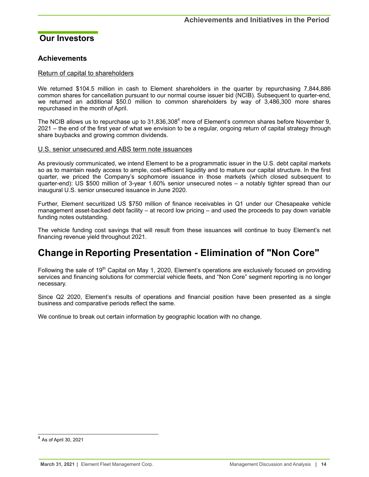# <span id="page-13-0"></span>**Our Investors**

# **Achievements**

### Return of capital to shareholders

We returned \$104.5 million in cash to Element shareholders in the quarter by repurchasing 7,844,886 common shares for cancellation pursuant to our normal course issuer bid (NCIB). Subsequent to quarter-end, we returned an additional \$50.0 million to common shareholders by way of 3,486,300 more shares repurchased in the month of April.

The NCIB allows us to repurchase up to 31,836,308<sup>4</sup> more of Element's common shares before November 9, 2021 – the end of the first year of what we envision to be a regular, ongoing return of capital strategy through share buybacks and growing common dividends.

### U.S. senior unsecured and ABS term note issuances

As previously communicated, we intend Element to be a programmatic issuer in the U.S. debt capital markets so as to maintain ready access to ample, cost-efficient liquidity and to mature our capital structure. In the first quarter, we priced the Company's sophomore issuance in those markets (which closed subsequent to quarter-end): US \$500 million of 3-year 1.60% senior unsecured notes – a notably tighter spread than our inaugural U.S. senior unsecured issuance in June 2020.

Further, Element securitized US \$750 million of finance receivables in Q1 under our Chesapeake vehicle management asset-backed debt facility – at record low pricing – and used the proceeds to pay down variable funding notes outstanding.

The vehicle funding cost savings that will result from these issuances will continue to buoy Element's net financing revenue yield throughout 2021.

# **Change in Reporting Presentation - Elimination of "Non Core"**

Following the sale of 19<sup>th</sup> Capital on May 1, 2020, Element's operations are exclusively focused on providing services and financing solutions for commercial vehicle fleets, and "Non Core" segment reporting is no longer necessary.

Since Q2 2020, Element's results of operations and financial position have been presented as a single business and comparative periods reflect the same.

We continue to break out certain information by geographic location with no change.

 $^4$  As of April 30, 2021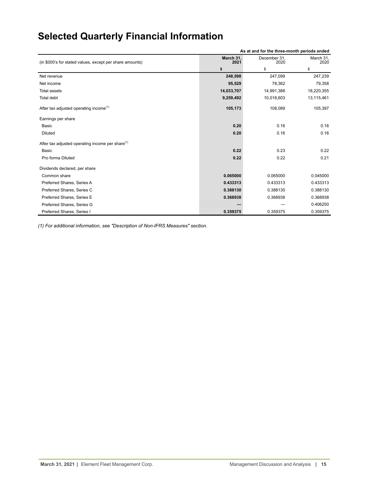# <span id="page-14-0"></span>**Selected Quarterly Financial Information**

| As at and for the three-month periods ended                  |                   |                      |                   |  |
|--------------------------------------------------------------|-------------------|----------------------|-------------------|--|
| (in \$000's for stated values, except per share amounts)     | March 31,<br>2021 | December 31,<br>2020 | March 31,<br>2020 |  |
|                                                              | \$                | \$                   | \$                |  |
| Net revenue                                                  | 248,598           | 247,099              | 247,239           |  |
| Net income                                                   | 95,529            | 78,362               | 79,358            |  |
| <b>Total assets</b>                                          | 14,033,707        | 14,991,388           | 18,220,355        |  |
| Total debt                                                   | 9,259,492         | 10,018,603           | 13,115,461        |  |
| After tax adjusted operating income <sup>(1)</sup>           | 105,173           | 108,089              | 105,397           |  |
| Earnings per share                                           |                   |                      |                   |  |
| Basic                                                        | 0.20              | 0.16                 | 0.16              |  |
| <b>Diluted</b>                                               | 0.20              | 0.16                 | 0.16              |  |
| After tax adjusted operating income per share <sup>(1)</sup> |                   |                      |                   |  |
| Basic                                                        | 0.22              | 0.23                 | 0.22              |  |
| Pro forma Diluted                                            | 0.22              | 0.22                 | 0.21              |  |
| Dividends declared, per share                                |                   |                      |                   |  |
| Common share                                                 | 0.065000          | 0.065000             | 0.045000          |  |
| Preferred Shares, Series A                                   | 0.433313          | 0.433313             | 0.433313          |  |
| Preferred Shares, Series C                                   | 0.388130          | 0.388130             | 0.388130          |  |
| Preferred Shares, Series E                                   | 0.368938          | 0.368938             | 0.368938          |  |
| Preferred Shares, Series G                                   |                   |                      | 0.406250          |  |
| Preferred Shares, Series I                                   | 0.359375          | 0.359375             | 0.359375          |  |

*(1) For additional information, see "Description of Non-IFRS Measures" section.*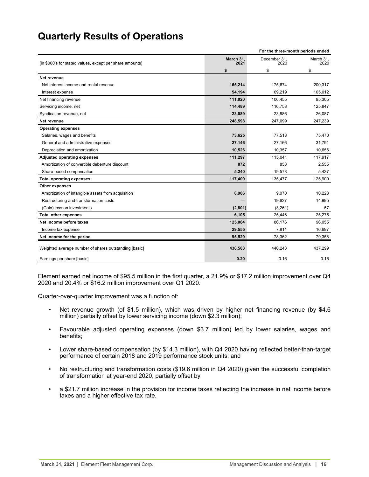# <span id="page-15-0"></span>**Quarterly Results of Operations**

|                                                          | For the three-month periods ended |                      |                   |  |  |
|----------------------------------------------------------|-----------------------------------|----------------------|-------------------|--|--|
| (in \$000's for stated values, except per share amounts) | March 31,<br>2021                 | December 31,<br>2020 | March 31,<br>2020 |  |  |
|                                                          | \$                                | \$                   | \$                |  |  |
| Net revenue                                              |                                   |                      |                   |  |  |
| Net interest income and rental revenue                   | 165,214                           | 175,674              | 200,317           |  |  |
| Interest expense                                         | 54,194                            | 69,219               | 105,012           |  |  |
| Net financing revenue                                    | 111,020                           | 106,455              | 95,305            |  |  |
| Servicing income, net                                    | 114,489                           | 116,758              | 125,847           |  |  |
| Syndication revenue, net                                 | 23,089                            | 23,886               | 26,087            |  |  |
| Net revenue                                              | 248,598                           | 247,099              | 247,239           |  |  |
| <b>Operating expenses</b>                                |                                   |                      |                   |  |  |
| Salaries, wages and benefits                             | 73,625                            | 77,518               | 75,470            |  |  |
| General and administrative expenses                      | 27,146                            | 27,166               | 31,791            |  |  |
| Depreciation and amortization                            | 10,526                            | 10,357               | 10,656            |  |  |
| <b>Adjusted operating expenses</b>                       | 111,297                           | 115,041              | 117,917           |  |  |
| Amortization of convertible debenture discount           | 872                               | 858                  | 2,555             |  |  |
| Share-based compensation                                 | 5,240                             | 19,578               | 5,437             |  |  |
| <b>Total operating expenses</b>                          | 117,409                           | 135,477              | 125,909           |  |  |
| Other expenses                                           |                                   |                      |                   |  |  |
| Amortization of intangible assets from acquisition       | 8,906                             | 9,070                | 10,223            |  |  |
| Restructuring and transformation costs                   |                                   | 19,637               | 14,995            |  |  |
| (Gain) loss on investments                               | (2,801)                           | (3,261)              | 57                |  |  |
| <b>Total other expenses</b>                              | 6,105                             | 25,446               | 25,275            |  |  |
| Net income before taxes                                  | 125,084                           | 86,176               | 96,055            |  |  |
| Income tax expense                                       | 29,555                            | 7,814                | 16,697            |  |  |
| Net income for the period                                | 95,529                            | 78.362               | 79,358            |  |  |
| Weighted average number of shares outstanding [basic]    | 438,503                           | 440,243              | 437,299           |  |  |
| Earnings per share [basic]                               | 0.20                              | 0.16                 | 0.16              |  |  |

Element earned net income of \$95.5 million in the first quarter, a 21.9% or \$17.2 million improvement over Q4 2020 and 20.4% or \$16.2 million improvement over Q1 2020.

Quarter-over-quarter improvement was a function of:

- Net revenue growth (of \$1.5 million), which was driven by higher net financing revenue (by \$4.6 million) partially offset by lower servicing income (down \$2.3 million);
- Favourable adjusted operating expenses (down \$3.7 million) led by lower salaries, wages and benefits;
- Lower share-based compensation (by \$14.3 million), with Q4 2020 having reflected better-than-target performance of certain 2018 and 2019 performance stock units; and
- No restructuring and transformation costs (\$19.6 million in Q4 2020) given the successful completion of transformation at year-end 2020, partially offset by
- a \$21.7 million increase in the provision for income taxes reflecting the increase in net income before taxes and a higher effective tax rate.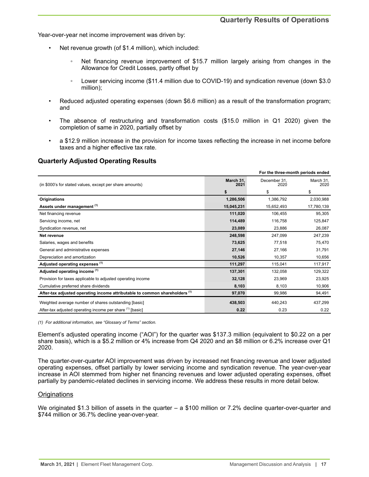Year-over-year net income improvement was driven by:

- Net revenue growth (of \$1.4 million), which included:
	- Net financing revenue improvement of \$15.7 million largely arising from changes in the Allowance for Credit Losses, partly offset by
	- Lower servicing income (\$11.4 million due to COVID-19) and syndication revenue (down \$3.0 million);
- Reduced adjusted operating expenses (down \$6.6 million) as a result of the transformation program; and
- The absence of restructuring and transformation costs (\$15.0 million in Q1 2020) given the completion of same in 2020, partially offset by
- a \$12.9 million increase in the provision for income taxes reflecting the increase in net income before taxes and a higher effective tax rate.

## **Quarterly Adjusted Operating Results**

| For the three-month periods ended                                           |                   |                      |                   |  |
|-----------------------------------------------------------------------------|-------------------|----------------------|-------------------|--|
| (in \$000's for stated values, except per share amounts)                    | March 31.<br>2021 | December 31,<br>2020 | March 31,<br>2020 |  |
|                                                                             | \$                | \$                   | \$                |  |
| <b>Originations</b>                                                         | 1,286,506         | 1,386,792            | 2,030,988         |  |
| Assets under management (1)                                                 | 15,045,231        | 15,652,493           | 17,780,139        |  |
| Net financing revenue                                                       | 111,020           | 106,455              | 95,305            |  |
| Servicing income, net                                                       | 114,489           | 116,758              | 125,847           |  |
| Syndication revenue, net                                                    | 23,089            | 23,886               | 26,087            |  |
| Net revenue                                                                 | 248,598           | 247,099              | 247,239           |  |
| Salaries, wages and benefits                                                | 73,625            | 77,518               | 75,470            |  |
| General and administrative expenses                                         | 27,146            | 27,166               | 31,791            |  |
| Depreciation and amortization                                               | 10,526            | 10,357               | 10,656            |  |
| Adjusted operating expenses (1)                                             | 111,297           | 115,041              | 117,917           |  |
| Adjusted operating income (1)                                               | 137,301           | 132,058              | 129,322           |  |
| Provision for taxes applicable to adjusted operating income                 | 32,128            | 23.969               | 23,925            |  |
| Cumulative preferred share dividends                                        | 8,103             | 8,103                | 10,906            |  |
| After-tax adjusted operating income attributable to common shareholders (1) | 97,070            | 99,986               | 94,491            |  |
| Weighted average number of shares outstanding [basic]                       | 438,503           | 440,243              | 437,299           |  |
| After-tax adjusted operating income per share (1) [basic]                   | 0.22              | 0.23                 | 0.22              |  |

*(1) For additional information, see "Glossary of Terms" section.*

Element's adjusted operating income ("AOI") for the quarter was \$137.3 million (equivalent to \$0.22 on a per share basis), which is a \$5.2 million or 4% increase from Q4 2020 and an \$8 million or 6.2% increase over Q1 2020.

The quarter-over-quarter AOI improvement was driven by increased net financing revenue and lower adjusted operating expenses, offset partially by lower servicing income and syndication revenue. The year-over-year increase in AOI stemmed from higher net financing revenues and lower adjusted operating expenses, offset partially by pandemic-related declines in servicing income. We address these results in more detail below.

### **Originations**

We originated \$1.3 billion of assets in the quarter – a \$100 million or 7.2% decline quarter-over-quarter and \$744 million or 36.7% decline year-over-year.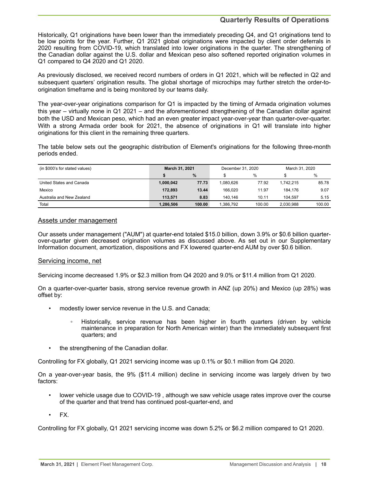# **Quarterly Results of Operations**

Historically, Q1 originations have been lower than the immediately preceding Q4, and Q1 originations tend to be low points for the year. Further, Q1 2021 global originations were impacted by client order deferrals in 2020 resulting from COVID-19, which translated into lower originations in the quarter. The strengthening of the Canadian dollar against the U.S. dollar and Mexican peso also softened reported origination volumes in Q1 compared to Q4 2020 and Q1 2020.

As previously disclosed, we received record numbers of orders in Q1 2021, which will be reflected in Q2 and subsequent quarters' origination results. The global shortage of microchips may further stretch the order-toorigination timeframe and is being monitored by our teams daily.

The year-over-year originations comparison for Q1 is impacted by the timing of Armada origination volumes this year – virtually none in Q1 2021 – and the aforementioned strengthening of the Canadian dollar against both the USD and Mexican peso, which had an even greater impact year-over-year than quarter-over-quarter. With a strong Armada order book for 2021, the absence of originations in Q1 will translate into higher originations for this client in the remaining three quarters.

The table below sets out the geographic distribution of Element's originations for the following three-month periods ended.

| (in \$000's for stated values) | March 31, 2021 |        | December 31, 2020 |        | March 31, 2020 |        |
|--------------------------------|----------------|--------|-------------------|--------|----------------|--------|
|                                | $\%$           |        |                   | $\%$   |                | %      |
| United States and Canada       | 1.000.042      | 77.73  | 1.080.626         | 77.92  | 1.742.215      | 85.78  |
| Mexico                         | 172.893        | 13.44  | 166.020           | 11.97  | 184.176        | 9.07   |
| Australia and New Zealand      | 113.571        | 8.83   | 140.146           | 10.11  | 104.597        | 5.15   |
| Total                          | 1.286.506      | 100.00 | 1.386.792         | 100.00 | 2.030.988      | 100.00 |

### Assets under management

Our assets under management ("AUM") at quarter-end totaled \$15.0 billion, down 3.9% or \$0.6 billion quarterover-quarter given decreased origination volumes as discussed above. As set out in our Supplementary Information document, amortization, dispositions and FX lowered quarter-end AUM by over \$0.6 billion.

### Servicing income, net

Servicing income decreased 1.9% or \$2.3 million from Q4 2020 and 9.0% or \$11.4 million from Q1 2020.

On a quarter-over-quarter basis, strong service revenue growth in ANZ (up 20%) and Mexico (up 28%) was offset by:

- modestly lower service revenue in the U.S. and Canada;
	- Historically, service revenue has been higher in fourth quarters (driven by vehicle maintenance in preparation for North American winter) than the immediately subsequent first quarters; and
- the strengthening of the Canadian dollar.

Controlling for FX globally, Q1 2021 servicing income was up 0.1% or \$0.1 million from Q4 2020.

On a year-over-year basis, the 9% (\$11.4 million) decline in servicing income was largely driven by two factors:

- lower vehicle usage due to COVID-19 , although we saw vehicle usage rates improve over the course of the quarter and that trend has continued post-quarter-end, and
- FX.

Controlling for FX globally, Q1 2021 servicing income was down 5.2% or \$6.2 million compared to Q1 2020.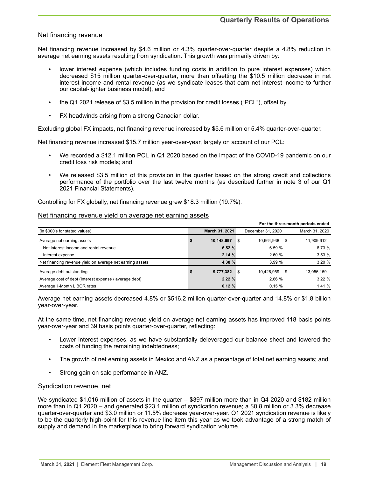### Net financing revenue

Net financing revenue increased by \$4.6 million or 4.3% quarter-over-quarter despite a 4.8% reduction in average net earning assets resulting from syndication. This growth was primarily driven by:

- lower interest expense (which includes funding costs in addition to pure interest expenses) which decreased \$15 million quarter-over-quarter, more than offsetting the \$10.5 million decrease in net interest income and rental revenue (as we syndicate leases that earn net interest income to further our capital-lighter business model), and
- the Q1 2021 release of \$3.5 million in the provision for credit losses ("PCL"), offset by
- FX headwinds arising from a strong Canadian dollar.

Excluding global FX impacts, net financing revenue increased by \$5.6 million or 5.4% quarter-over-quarter.

Net financing revenue increased \$15.7 million year-over-year, largely on account of our PCL:

- We recorded a \$12.1 million PCL in Q1 2020 based on the impact of the COVID-19 pandemic on our credit loss risk models; and
- We released \$3.5 million of this provision in the quarter based on the strong credit and collections performance of the portfolio over the last twelve months (as described further in note 3 of our Q1 2021 Financial Statements).

Controlling for FX globally, net financing revenue grew \$18.3 million (19.7%).

# Net financing revenue yield on average net earning assets

| For the three-month periods ended                         |   |                |     |                   |   |                |
|-----------------------------------------------------------|---|----------------|-----|-------------------|---|----------------|
| (in \$000's for stated values)                            |   | March 31, 2021 |     | December 31, 2020 |   | March 31, 2020 |
| Average net earning assets                                |   | 10,148,697     | S   | 10,664,938        | S | 11,909,612     |
| Net interest income and rental revenue                    |   | 6.52%          |     | 6.59%             |   | 6.73%          |
| Interest expense                                          |   | 2.14%          |     | 2.60%             |   | 3.53%          |
| Net financing revenue yield on average net earning assets |   | 4.38 %         |     | 3.99%             |   | 3.20%          |
| Average debt outstanding                                  | 5 | 9,777,382      | - 5 | 10.426.959        | S | 13,056,159     |
| Average cost of debt (Interest expense / average debt)    |   | 2.22%          |     | 2.66 %            |   | 3.22%          |
| Average 1-Month LIBOR rates                               |   | 0.12%          |     | 0.15%             |   | 1.41%          |

Average net earning assets decreased 4.8% or \$516.2 million quarter-over-quarter and 14.8% or \$1.8 billion year-over-year.

At the same time, net financing revenue yield on average net earning assets has improved 118 basis points year-over-year and 39 basis points quarter-over-quarter, reflecting:

- Lower interest expenses, as we have substantially deleveraged our balance sheet and lowered the costs of funding the remaining indebtedness;
- The growth of net earning assets in Mexico and ANZ as a percentage of total net earning assets; and
- Strong gain on sale performance in ANZ.

### Syndication revenue, net

We syndicated \$1,016 million of assets in the quarter – \$397 million more than in Q4 2020 and \$182 million more than in Q1 2020 – and generated \$23.1 million of syndication revenue; a \$0.8 million or 3.3% decrease quarter-over-quarter and \$3.0 million or 11.5% decrease year-over-year. Q1 2021 syndication revenue is likely to be the quarterly high-point for this revenue line item this year as we took advantage of a strong match of supply and demand in the marketplace to bring forward syndication volume.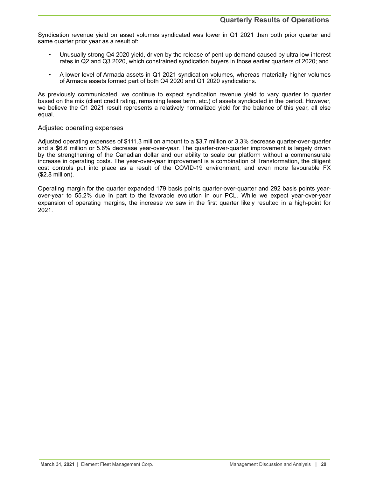Syndication revenue yield on asset volumes syndicated was lower in Q1 2021 than both prior quarter and same quarter prior year as a result of:

- Unusually strong Q4 2020 yield, driven by the release of pent-up demand caused by ultra-low interest rates in Q2 and Q3 2020, which constrained syndication buyers in those earlier quarters of 2020; and
- A lower level of Armada assets in Q1 2021 syndication volumes, whereas materially higher volumes of Armada assets formed part of both Q4 2020 and Q1 2020 syndications.

As previously communicated, we continue to expect syndication revenue yield to vary quarter to quarter based on the mix (client credit rating, remaining lease term, etc.) of assets syndicated in the period. However, we believe the Q1 2021 result represents a relatively normalized yield for the balance of this year, all else equal.

### Adjusted operating expenses

Adjusted operating expenses of \$111.3 million amount to a \$3.7 million or 3.3% decrease quarter-over-quarter and a \$6.6 million or 5.6% decrease year-over-year. The quarter-over-quarter improvement is largely driven by the strengthening of the Canadian dollar and our ability to scale our platform without a commensurate increase in operating costs. The year-over-year improvement is a combination of Transformation, the diligent cost controls put into place as a result of the COVID-19 environment, and even more favourable FX (\$2.8 million).

Operating margin for the quarter expanded 179 basis points quarter-over-quarter and 292 basis points yearover-year to 55.2% due in part to the favorable evolution in our PCL. While we expect year-over-year expansion of operating margins, the increase we saw in the first quarter likely resulted in a high-point for 2021.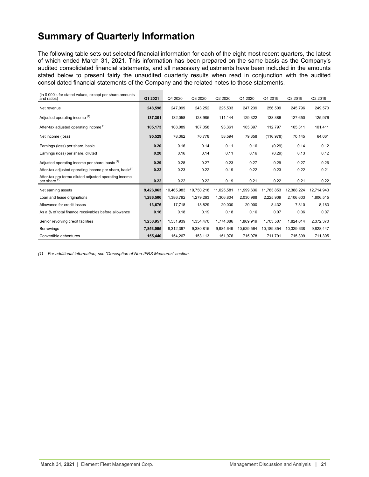# <span id="page-20-0"></span>**Summary of Quarterly Information**

The following table sets out selected financial information for each of the eight most recent quarters, the latest of which ended March 31, 2021. This information has been prepared on the same basis as the Company's audited consolidated financial statements, and all necessary adjustments have been included in the amounts stated below to present fairly the unaudited quarterly results when read in conjunction with the audited consolidated financial statements of the Company and the related notes to those statements.

| (in \$000's for stated values, except per share amounts<br>and ratios)            | Q1 2021   | Q4 2020    | Q3 2020    | Q2 2020    | Q1 2020    | Q4 2019    | Q3 2019    | Q2 2019    |
|-----------------------------------------------------------------------------------|-----------|------------|------------|------------|------------|------------|------------|------------|
| Net revenue                                                                       | 248.598   | 247,099    | 243,252    | 225,503    | 247,239    | 256,509    | 245,796    | 249,570    |
| Adjusted operating income (1)                                                     | 137,301   | 132,058    | 128,985    | 111,144    | 129,322    | 138,386    | 127,650    | 125,976    |
| After-tax adjusted operating income (1)                                           | 105,173   | 108,089    | 107,058    | 93,361     | 105,397    | 112,797    | 105,311    | 101,411    |
| Net income (loss)                                                                 | 95,529    | 78,362     | 70,778     | 58,594     | 79,358     | (116, 978) | 70,145     | 64,061     |
| Earnings (loss) per share, basic                                                  | 0.20      | 0.16       | 0.14       | 0.11       | 0.16       | (0.29)     | 0.14       | 0.12       |
| Earnings (loss) per share, diluted                                                | 0.20      | 0.16       | 0.14       | 0.11       | 0.16       | (0.29)     | 0.13       | 0.12       |
| Adjusted operating income per share, basic <sup>(1)</sup>                         | 0.29      | 0.28       | 0.27       | 0.23       | 0.27       | 0.29       | 0.27       | 0.26       |
| After-tax adjusted operating income per share, basic <sup>(1)</sup>               | 0.22      | 0.23       | 0.22       | 0.19       | 0.22       | 0.23       | 0.22       | 0.21       |
| After-tax pro forma diluted adjusted operating income<br>per share <sup>(1)</sup> | 0.22      | 0.22       | 0.22       | 0.19       | 0.21       | 0.22       | 0.21       | 0.22       |
| Net earning assets                                                                | 9,426,863 | 10,465,983 | 10,750,218 | 11,025,581 | 11.999.636 | 11,783,853 | 12,388,224 | 12,714,943 |
| Loan and lease originations                                                       | 1,286,506 | 1,386,792  | 1,279,263  | 1.306.804  | 2.030.988  | 2.225.909  | 2.106.603  | 1,806,515  |
| Allowance for credit losses                                                       | 13,676    | 17,718     | 18,829     | 20,000     | 20,000     | 8,432      | 7,810      | 8,183      |
| As a % of total finance receivables before allowance                              | 0.16      | 0.18       | 0.19       | 0.18       | 0.16       | 0.07       | 0.06       | 0.07       |
| Senior revolving credit facilities                                                | 1,250,957 | 1,551,939  | 1,354,470  | 1,774,086  | 1,869,919  | 1,703,507  | 1,824,014  | 2,372,370  |
| <b>Borrowings</b>                                                                 | 7,853,095 | 8,312,397  | 9,380,815  | 9,984,649  | 10,529,564 | 10,189,354 | 10,329,638 | 9,828,447  |
| Convertible debentures                                                            | 155,440   | 154,267    | 153,113    | 151,976    | 715,978    | 711,791    | 715,399    | 711,305    |

*(1) For additional information, see "Description of Non-IFRS Measures" section.*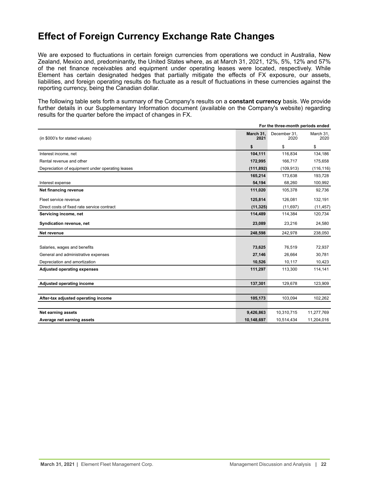# <span id="page-21-0"></span>**Effect of Foreign Currency Exchange Rate Changes**

We are exposed to fluctuations in certain foreign currencies from operations we conduct in Australia, New Zealand, Mexico and, predominantly, the United States where, as at March 31, 2021, 12%, 5%, 12% and 57% of the net finance receivables and equipment under operating leases were located, respectively. While Element has certain designated hedges that partially mitigate the effects of FX exposure, our assets, liabilities, and foreign operating results do fluctuate as a result of fluctuations in these currencies against the reporting currency, being the Canadian dollar.

The following table sets forth a summary of the Company's results on a **constant currency** basis. We provide further details in our Supplementary Information document (available on the Company's website) regarding results for the quarter before the impact of changes in FX.

|                                                  |                   | For the three-month periods ended |                   |
|--------------------------------------------------|-------------------|-----------------------------------|-------------------|
| (in \$000's for stated values)                   | March 31.<br>2021 | December 31,<br>2020              | March 31,<br>2020 |
|                                                  | \$                | \$                                | \$                |
| Interest income, net                             | 104,111           | 116,834                           | 134,186           |
| Rental revenue and other                         | 172,995           | 166,717                           | 175,658           |
| Depreciation of equipment under operating leases | (111, 892)        | (109, 913)                        | (116, 116)        |
|                                                  | 165,214           | 173,638                           | 193,728           |
| Interest expense                                 | 54,194            | 68,260                            | 100,992           |
| Net financing revenue                            | 111,020           | 105,378                           | 92,736            |
| Fleet service revenue                            | 125,814           | 126,081                           | 132,191           |
| Direct costs of fixed rate service contract      | (11, 325)         | (11, 697)                         | (11, 457)         |
| Servicing income, net                            | 114,489           | 114,384                           | 120,734           |
| Syndication revenue, net                         | 23,089            | 23,216                            | 24,580            |
| Net revenue                                      | 248,598           | 242,978                           | 238,050           |
|                                                  |                   |                                   |                   |
| Salaries, wages and benefits                     | 73,625            | 76,519                            | 72,937            |
| General and administrative expenses              | 27,146            | 26,664                            | 30,781            |
| Depreciation and amortization                    | 10,526            | 10,117                            | 10,423            |
| <b>Adjusted operating expenses</b>               | 111,297           | 113,300                           | 114,141           |
| Adjusted operating income                        | 137,301           | 129,678                           | 123,909           |
|                                                  |                   |                                   |                   |
| After-tax adjusted operating income              | 105,173           | 103,094                           | 102,262           |
| <b>Net earning assets</b>                        | 9,426,863         | 10,310,715                        | 11,277,769        |
| Average net earning assets                       | 10,148,697        | 10,514,434                        | 11,204,016        |
|                                                  |                   |                                   |                   |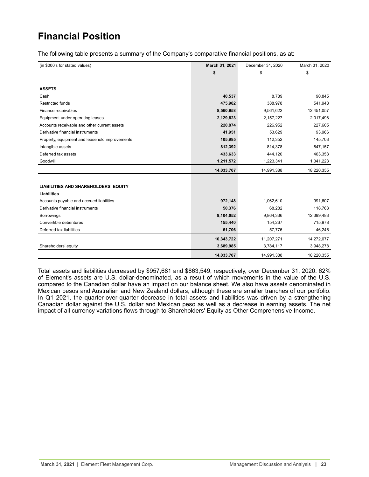# <span id="page-22-0"></span>**Financial Position**

The following table presents a summary of the Company's comparative financial positions, as at:

| (in \$000's for stated values)                 | March 31, 2021 | December 31, 2020 | March 31, 2020 |
|------------------------------------------------|----------------|-------------------|----------------|
|                                                | \$             | \$                | \$             |
|                                                |                |                   |                |
| <b>ASSETS</b>                                  |                |                   |                |
| Cash                                           | 40,537         | 8,789             | 90,845         |
| <b>Restricted funds</b>                        | 475,982        | 388,978           | 541,948        |
| Finance receivables                            | 8,560,958      | 9,561,622         | 12,451,057     |
| Equipment under operating leases               | 2,129,823      | 2,157,227         | 2,017,498      |
| Accounts receivable and other current assets   | 220,874        | 226,952           | 227,605        |
| Derivative financial instruments               | 41,951         | 53,629            | 93,966         |
| Property, equipment and leasehold improvements | 105,985        | 112,352           | 145,703        |
| Intangible assets                              | 812,392        | 814,378           | 847,157        |
| Deferred tax assets                            | 433,633        | 444,120           | 463,353        |
| Goodwill                                       | 1,211,572      | 1,223,341         | 1,341,223      |
|                                                | 14,033,707     | 14,991,388        | 18,220,355     |
|                                                |                |                   |                |
| <b>LIABILITIES AND SHAREHOLDERS' EQUITY</b>    |                |                   |                |
| <b>Liabilities</b>                             |                |                   |                |
| Accounts payable and accrued liabilities       | 972,148        | 1,062,610         | 991,607        |
| Derivative financial instruments               | 50,376         | 68,282            | 118,763        |
| <b>Borrowings</b>                              | 9,104,052      | 9,864,336         | 12,399,483     |
| Convertible debentures                         | 155,440        | 154,267           | 715,978        |
| Deferred tax liabilities                       | 61,706         | 57,776            | 46,246         |
|                                                | 10,343,722     | 11,207,271        | 14,272,077     |
| Shareholders' equity                           | 3,689,985      | 3,784,117         | 3,948,278      |
|                                                | 14,033,707     | 14,991,388        | 18,220,355     |

Total assets and liabilities decreased by \$957,681 and \$863,549, respectively, over December 31, 2020. 62% of Element's assets are U.S. dollar-denominated, as a result of which movements in the value of the U.S. compared to the Canadian dollar have an impact on our balance sheet. We also have assets denominated in Mexican pesos and Australian and New Zealand dollars, although these are smaller tranches of our portfolio. In Q1 2021, the quarter-over-quarter decrease in total assets and liabilities was driven by a strengthening Canadian dollar against the U.S. dollar and Mexican peso as well as a decrease in earning assets. The net impact of all currency variations flows through to Shareholders' Equity as Other Comprehensive Income.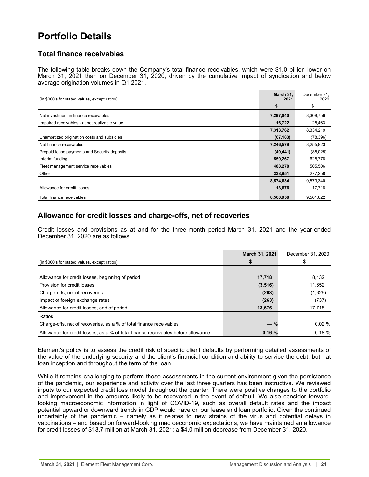# <span id="page-23-0"></span>**Portfolio Details**

# **Total finance receivables**

The following table breaks down the Company's total finance receivables, which were \$1.0 billion lower on March 31, 2021 than on December 31, 2020, driven by the cumulative impact of syndication and below average origination volumes in Q1 2021.

| (in \$000's for stated values, except ratios)  | March 31,<br>2021 | December 31,<br>2020 |
|------------------------------------------------|-------------------|----------------------|
|                                                | \$                | \$                   |
| Net investment in finance receivables          | 7,297,040         | 8,308,756            |
| Impaired receivables - at net realizable value | 16,722            | 25,463               |
|                                                | 7,313,762         | 8,334,219            |
| Unamortized origination costs and subsidies    | (67, 183)         | (78, 396)            |
| Net finance receivables                        | 7,246,579         | 8,255,823            |
| Prepaid lease payments and Security deposits   | (49, 441)         | (85,025)             |
| Interim funding                                | 550,267           | 625,778              |
| Fleet management service receivables           | 488,278           | 505,506              |
| Other                                          | 338,951           | 277,258              |
|                                                | 8,574,634         | 9,579,340            |
| Allowance for credit losses                    | 13,676            | 17,718               |
| Total finance receivables                      | 8,560,958         | 9,561,622            |

# **Allowance for credit losses and charge-offs, net of recoveries**

Credit losses and provisions as at and for the three-month period March 31, 2021 and the year-ended December 31, 2020 are as follows.

|                                                                                   | March 31, 2021 | December 31, 2020 |
|-----------------------------------------------------------------------------------|----------------|-------------------|
| (in \$000's for stated values, except ratios)                                     |                |                   |
| Allowance for credit losses, beginning of period                                  | 17,718         | 8,432             |
|                                                                                   |                |                   |
| Provision for credit losses                                                       | (3, 516)       | 11,652            |
| Charge-offs, net of recoveries                                                    | (263)          | (1,629)           |
| Impact of foreign exchange rates                                                  | (263)          | (737)             |
| Allowance for credit losses, end of period                                        | 13,676         | 17,718            |
| Ratios                                                                            |                |                   |
| Charge-offs, net of recoveries, as a % of total finance receivables               | $-$ %          | 0.02%             |
| Allowance for credit losses, as a % of total finance receivables before allowance | 0.16%          | $0.18 \%$         |

Element's policy is to assess the credit risk of specific client defaults by performing detailed assessments of the value of the underlying security and the client's financial condition and ability to service the debt, both at loan inception and throughout the term of the loan.

While it remains challenging to perform these assessments in the current environment given the persistence of the pandemic, our experience and activity over the last three quarters has been instructive. We reviewed inputs to our expected credit loss model throughout the quarter. There were positive changes to the portfolio and improvement in the amounts likely to be recovered in the event of default. We also consider forwardlooking macroeconomic information in light of COVID-19, such as overall default rates and the impact potential upward or downward trends in GDP would have on our lease and loan portfolio. Given the continued uncertainty of the pandemic – namely as it relates to new strains of the virus and potential delays in vaccinations – and based on forward-looking macroeconomic expectations, we have maintained an allowance for credit losses of \$13.7 million at March 31, 2021; a \$4.0 million decrease from December 31, 2020.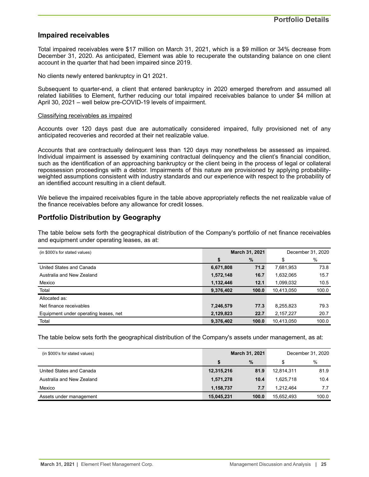# **Impaired receivables**

Total impaired receivables were \$17 million on March 31, 2021, which is a \$9 million or 34% decrease from December 31, 2020. As anticipated, Element was able to recuperate the outstanding balance on one client account in the quarter that had been impaired since 2019.

No clients newly entered bankruptcy in Q1 2021.

Subsequent to quarter-end, a client that entered bankruptcy in 2020 emerged therefrom and assumed all related liabilities to Element, further reducing our total impaired receivables balance to under \$4 million at April 30, 2021 – well below pre-COVID-19 levels of impairment.

#### Classifying receivables as impaired

Accounts over 120 days past due are automatically considered impaired, fully provisioned net of any anticipated recoveries and recorded at their net realizable value.

Accounts that are contractually delinquent less than 120 days may nonetheless be assessed as impaired. Individual impairment is assessed by examining contractual delinquency and the client's financial condition, such as the identification of an approaching bankruptcy or the client being in the process of legal or collateral repossession proceedings with a debtor. Impairments of this nature are provisioned by applying probabilityweighted assumptions consistent with industry standards and our experience with respect to the probability of an identified account resulting in a client default.

We believe the impaired receivables figure in the table above appropriately reflects the net realizable value of the finance receivables before any allowance for credit losses.

# **Portfolio Distribution by Geography**

The table below sets forth the geographical distribution of the Company's portfolio of net finance receivables and equipment under operating leases, as at:

| (in \$000's for stated values)        |                   | March 31, 2021 |            | December 31, 2020 |  |
|---------------------------------------|-------------------|----------------|------------|-------------------|--|
|                                       | \$                | %              | \$         | %                 |  |
| United States and Canada              | 6,671,808         | 71.2           | 7,681,953  | 73.8              |  |
| Australia and New Zealand             | 1,572,148<br>16.7 |                | 1,632,065  | 15.7              |  |
| Mexico                                | 1,132,446         | 12.1           |            | 10.5<br>1,099,032 |  |
| Total                                 | 9,376,402         | 100.0          |            | 100.0             |  |
| Allocated as:                         |                   |                |            |                   |  |
| Net finance receivables               | 7,246,579         | 77.3           | 8,255,823  | 79.3              |  |
| Equipment under operating leases, net | 2,129,823         | 22.7           | 2,157,227  | 20.7              |  |
| Total                                 | 9,376,402         | 100.0          | 10,413,050 | 100.0             |  |

The table below sets forth the geographical distribution of the Company's assets under management, as at:

| (in \$000's for stated values) | March 31, 2021 |       |            |       |   | December 31, 2020 |
|--------------------------------|----------------|-------|------------|-------|---|-------------------|
|                                | $\%$           |       |            |       | S | %                 |
| United States and Canada       | 12,315,216     | 81.9  | 12,814,311 | 81.9  |   |                   |
| Australia and New Zealand      | 1,571,278      | 10.4  | 1.625.718  | 10.4  |   |                   |
| Mexico                         | 1,158,737      | 7.7   | 1.212.464  | 7.7   |   |                   |
| Assets under management        | 15,045,231     | 100.0 | 15,652,493 | 100.0 |   |                   |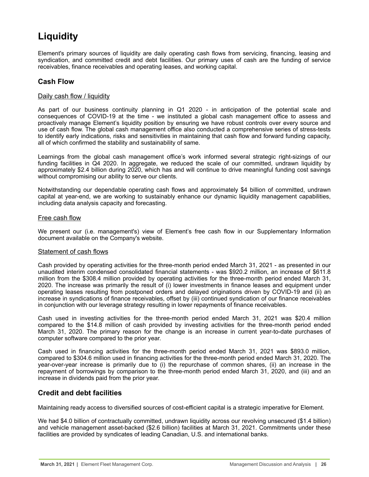# <span id="page-25-0"></span>**Liquidity**

Element's primary sources of liquidity are daily operating cash flows from servicing, financing, leasing and syndication, and committed credit and debt facilities. Our primary uses of cash are the funding of service receivables, finance receivables and operating leases, and working capital.

# **Cash Flow**

### Daily cash flow / liquidity

As part of our business continuity planning in Q1 2020 - in anticipation of the potential scale and consequences of COVID-19 at the time - we instituted a global cash management office to assess and proactively manage Element's liquidity position by ensuring we have robust controls over every source and use of cash flow. The global cash management office also conducted a comprehensive series of stress-tests to identify early indications, risks and sensitivities in maintaining that cash flow and forward funding capacity, all of which confirmed the stability and sustainability of same.

Learnings from the global cash management office's work informed several strategic right-sizings of our funding facilities in Q4 2020. In aggregate, we reduced the scale of our committed, undrawn liquidity by approximately \$2.4 billion during 2020, which has and will continue to drive meaningful funding cost savings without compromising our ability to serve our clients.

Notwithstanding our dependable operating cash flows and approximately \$4 billion of committed, undrawn capital at year-end, we are working to sustainably enhance our dynamic liquidity management capabilities, including data analysis capacity and forecasting.

### Free cash flow

We present our (i.e. management's) view of Element's free cash flow in our Supplementary Information document available on the Company's website.

### Statement of cash flows

Cash provided by operating activities for the three-month period ended March 31, 2021 - as presented in our unaudited interim condensed consolidated financial statements - was \$920.2 million, an increase of \$611.8 million from the \$308.4 million provided by operating activities for the three-month period ended March 31, 2020. The increase was primarily the result of (i) lower investments in finance leases and equipment under operating leases resulting from postponed orders and delayed originations driven by COVID-19 and (ii) an increase in syndications of finance receivables, offset by (iii) continued syndication of our finance receivables in conjunction with our leverage strategy resulting in lower repayments of finance receivables.

Cash used in investing activities for the three-month period ended March 31, 2021 was \$20.4 million compared to the \$14.8 million of cash provided by investing activities for the three-month period ended March 31, 2020. The primary reason for the change is an increase in current year-to-date purchases of computer software compared to the prior year.

Cash used in financing activities for the three-month period ended March 31, 2021 was \$893.0 million, compared to \$304.6 million used in financing activities for the three-month period ended March 31, 2020. The year-over-year increase is primarily due to (i) the repurchase of common shares, (ii) an increase in the repayment of borrowings by comparison to the three-month period ended March 31, 2020, and (iii) and an increase in dividends paid from the prior year.

# **Credit and debt facilities**

Maintaining ready access to diversified sources of cost-efficient capital is a strategic imperative for Element.

We had \$4.0 billion of contractually committed, undrawn liquidity across our revolving unsecured (\$1.4 billion) and vehicle management asset-backed (\$2.6 billion) facilities at March 31, 2021. Commitments under these facilities are provided by syndicates of leading Canadian, U.S. and international banks.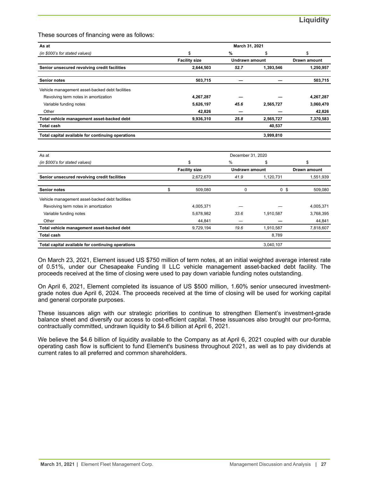These sources of financing were as follows:

| As at                                             |                      | March 31, 2021        |           |              |
|---------------------------------------------------|----------------------|-----------------------|-----------|--------------|
| (in \$000's for stated values)                    | \$                   | %                     | \$        | \$           |
|                                                   | <b>Facility size</b> | <b>Undrawn amount</b> |           | Drawn amount |
| Senior unsecured revolving credit facilities      | 2,644,503            | 52.7                  | 1,393,546 | 1,250,957    |
| <b>Senior notes</b>                               | 503,715              |                       |           | 503,715      |
| Vehicle management asset-backed debt facilities   |                      |                       |           |              |
| Revolving term notes in amortization              | 4,267,287            |                       |           | 4,267,287    |
| Variable funding notes                            | 5,626,197            | 45.6                  | 2,565,727 | 3,060,470    |
| Other                                             | 42,826               |                       |           | 42,826       |
| Total vehicle management asset-backed debt        | 9,936,310            | 25.8                  | 2,565,727 | 7,370,583    |
| <b>Total cash</b>                                 |                      |                       | 40,537    |              |
| Total capital available for continuing operations |                      |                       | 3,999,810 |              |
|                                                   |                      |                       |           |              |
| $\Lambda$ $\sim$ $\Lambda$ +                      |                      | Dosechess 24.2020     |           |              |

| As at                                             | December 31, 2020 |                      |                |           |              |
|---------------------------------------------------|-------------------|----------------------|----------------|-----------|--------------|
| (in \$000's for stated values)                    | \$                |                      | %              | \$        | \$           |
|                                                   |                   | <b>Facility size</b> | Undrawn amount |           | Drawn amount |
| Senior unsecured revolving credit facilities      |                   | 2,672,670            | 41.9           | 1,120,731 | 1,551,939    |
| <b>Senior notes</b>                               |                   | 509,080              |                | 0<br>\$   | 509,080      |
| Vehicle management asset-backed debt facilities   |                   |                      |                |           |              |
| Revolving term notes in amortization              |                   | 4,005,371            |                |           | 4,005,371    |
| Variable funding notes                            |                   | 5,678,982            | 33.6           | 1,910,587 | 3,768,395    |
| Other                                             |                   | 44,841               |                |           | 44,841       |
| Total vehicle management asset-backed debt        |                   | 9,729,194            | 19.6           | 1,910,587 | 7,818,607    |
| <b>Total cash</b>                                 |                   |                      |                | 8,789     |              |
| Total capital available for continuing operations |                   |                      |                | 3.040.107 |              |

On March 23, 2021, Element issued US \$750 million of term notes, at an initial weighted average interest rate of 0.51%, under our Chesapeake Funding II LLC vehicle management asset-backed debt facility. The proceeds received at the time of closing were used to pay down variable funding notes outstanding.

On April 6, 2021, Element completed its issuance of US \$500 million, 1.60% senior unsecured investmentgrade notes due April 6, 2024. The proceeds received at the time of closing will be used for working capital and general corporate purposes.

These issuances align with our strategic priorities to continue to strengthen Element's investment-grade balance sheet and diversify our access to cost-efficient capital. These issuances also brought our pro-forma, contractually committed, undrawn liquidity to \$4.6 billion at April 6, 2021.

We believe the \$4.6 billion of liquidity available to the Company as at April 6, 2021 coupled with our durable operating cash flow is sufficient to fund Element's business throughout 2021, as well as to pay dividends at current rates to all preferred and common shareholders.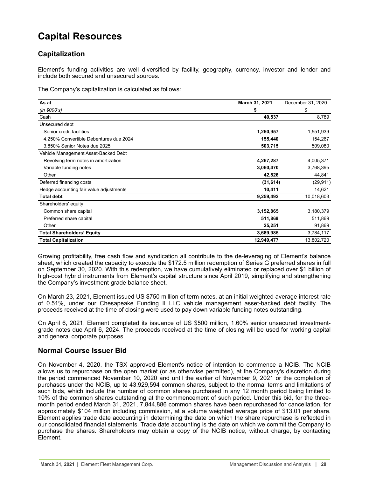# <span id="page-27-0"></span>**Capital Resources**

# **Capitalization**

Element's funding activities are well diversified by facility, geography, currency, investor and lender and include both secured and unsecured sources.

The Company's capitalization is calculated as follows:

| As at                                   | March 31, 2021 | December 31, 2020 |
|-----------------------------------------|----------------|-------------------|
| (in \$000's)                            | \$             | \$                |
| Cash                                    | 40,537         | 8,789             |
| Unsecured debt                          |                |                   |
| Senior credit facilities                | 1,250,957      | 1,551,939         |
| 4.250% Convertible Debentures due 2024  | 155,440        | 154,267           |
| 3.850% Senior Notes due 2025            | 503,715        | 509,080           |
| Vehicle Management Asset-Backed Debt    |                |                   |
| Revolving term notes in amortization    | 4,267,287      | 4,005,371         |
| Variable funding notes                  | 3,060,470      | 3,768,395         |
| Other                                   | 42,826         | 44,841            |
| Deferred financing costs                | (31, 614)      | (29, 911)         |
| Hedge accounting fair value adjustments | 10,411         | 14,621            |
| <b>Total debt</b>                       | 9,259,492      | 10,018,603        |
| Shareholders' equity                    |                |                   |
| Common share capital                    | 3,152,865      | 3,180,379         |
| Preferred share capital                 | 511,869        | 511,869           |
| Other                                   | 25,251         | 91,869            |
| <b>Total Shareholders' Equity</b>       | 3,689,985      | 3,784,117         |
| <b>Total Capitalization</b>             | 12,949,477     | 13,802,720        |

Growing profitability, free cash flow and syndication all contribute to the de-leveraging of Element's balance sheet, which created the capacity to execute the \$172.5 million redemption of Series G preferred shares in full on September 30, 2020. With this redemption, we have cumulatively eliminated or replaced over \$1 billion of high-cost hybrid instruments from Element's capital structure since April 2019, simplifying and strengthening the Company's investment-grade balance sheet.

On March 23, 2021, Element issued US \$750 million of term notes, at an initial weighted average interest rate of 0.51%, under our Chesapeake Funding II LLC vehicle management asset-backed debt facility. The proceeds received at the time of closing were used to pay down variable funding notes outstanding.

On April 6, 2021, Element completed its issuance of US \$500 million, 1.60% senior unsecured investmentgrade notes due April 6, 2024. The proceeds received at the time of closing will be used for working capital and general corporate purposes.

# **Normal Course Issuer Bid**

On November 4, 2020, the TSX approved Element's notice of intention to commence a NCIB. The NCIB allows us to repurchase on the open market (or as otherwise permitted), at the Company's discretion during the period commenced November 10, 2020 and until the earlier of November 9, 2021 or the completion of purchases under the NCIB, up to 43,929,594 common shares, subject to the normal terms and limitations of such bids, which include the number of common shares purchased in any 12 month period being limited to 10% of the common shares outstanding at the commencement of such period. Under this bid, for the threemonth period ended March 31, 2021, 7,844,886 common shares have been repurchased for cancellation, for approximately \$104 million including commission, at a volume weighted average price of \$13.01 per share. Element applies trade date accounting in determining the date on which the share repurchase is reflected in our consolidated financial statements. Trade date accounting is the date on which we commit the Company to purchase the shares. Shareholders may obtain a copy of the NCIB notice, without charge, by contacting Element.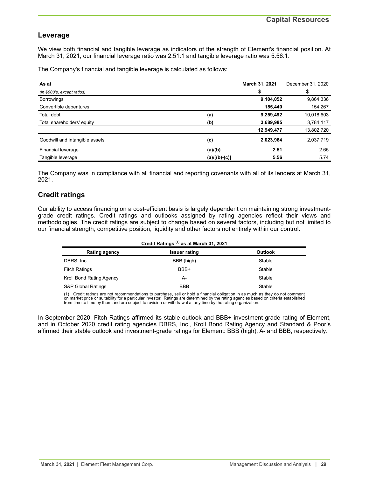# **Leverage**

We view both financial and tangible leverage as indicators of the strength of Element's financial position. At March 31, 2021, our financial leverage ratio was 2.51:1 and tangible leverage ratio was 5.56:1.

The Company's financial and tangible leverage is calculated as follows:

| As at                          |                 | March 31, 2021 | December 31, 2020 |
|--------------------------------|-----------------|----------------|-------------------|
| (in \$000's, except ratios)    |                 | \$             | \$                |
| <b>Borrowings</b>              |                 | 9,104,052      | 9,864,336         |
| Convertible debentures         |                 | 155,440        | 154,267           |
| Total debt                     | (a)             | 9,259,492      | 10,018,603        |
| Total shareholders' equity     | (b)             | 3,689,985      | 3,784,117         |
|                                |                 | 12,949,477     | 13,802,720        |
| Goodwill and intangible assets | (c)             | 2,023,964      | 2,037,719         |
| Financial leverage             | (a)/(b)         | 2.51           | 2.65              |
| Tangible leverage              | $(a)/[(b)-(c)]$ | 5.56           | 5.74              |

The Company was in compliance with all financial and reporting covenants with all of its lenders at March 31, 2021.

# **Credit ratings**

Our ability to access financing on a cost-efficient basis is largely dependent on maintaining strong investmentgrade credit ratings. Credit ratings and outlooks assigned by rating agencies reflect their views and methodologies. The credit ratings are subject to change based on several factors, including but not limited to our financial strength, competitive position, liquidity and other factors not entirely within our control.

| Credit Ratings <sup>(1)</sup> as at March 31, 2021 |                      |                |  |  |  |
|----------------------------------------------------|----------------------|----------------|--|--|--|
| <b>Rating agency</b>                               | <b>Issuer rating</b> | <b>Outlook</b> |  |  |  |
| DBRS, Inc.                                         | BBB (high)           | Stable         |  |  |  |
| <b>Fitch Ratings</b>                               | BBB+                 | Stable         |  |  |  |
| Kroll Bond Rating Agency                           | А-                   | Stable         |  |  |  |
| S&P Global Ratings                                 | <b>BBB</b>           | Stable         |  |  |  |

(1) Credit ratings are not recommendations to purchase, sell or hold a financial obligation in as much as they do not comment on market price or suitability for a particular investor. Ratings are determined by the rating agencies based on criteria established<br>from time to time by them and are subject to revision or withdrawal at any time by the r

In September 2020, Fitch Ratings affirmed its stable outlook and BBB+ investment-grade rating of Element, and in October 2020 credit rating agencies DBRS, Inc., Kroll Bond Rating Agency and Standard & Poor's affirmed their stable outlook and investment-grade ratings for Element: BBB (high), A- and BBB, respectively.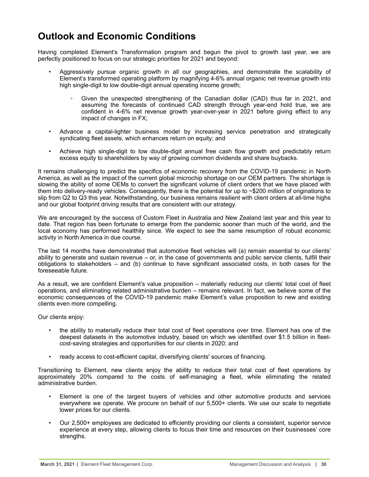# <span id="page-29-0"></span>**Outlook and Economic Conditions**

Having completed Element's Transformation program and begun the pivot to growth last year, we are perfectly positioned to focus on our strategic priorities for 2021 and beyond:

- Aggressively pursue organic growth in all our geographies, and demonstrate the scalability of Element's transformed operating platform by magnifying 4-6% annual organic net revenue growth into high single-digit to low double-digit annual operating income growth;
	- Given the unexpected strengthening of the Canadian dollar (CAD) thus far in 2021, and assuming the forecasts of continued CAD strength through year-end hold true, we are confident in 4-6% net revenue growth year-over-year in 2021 before giving effect to any impact of changes in FX;
- Advance a capital-lighter business model by increasing service penetration and strategically syndicating fleet assets, which enhances return on equity; and
- Achieve high single-digit to low double-digit annual free cash flow growth and predictably return excess equity to shareholders by way of growing common dividends and share buybacks.

It remains challenging to predict the specifics of economic recovery from the COVID-19 pandemic in North America, as well as the impact of the current global microchip shortage on our OEM partners. The shortage is slowing the ability of some OEMs to convert the significant volume of client orders that we have placed with them into delivery-ready vehicles. Consequently, there is the potential for up to ~\$200 million of originations to slip from Q2 to Q3 this year. Notwithstanding, our business remains resilient with client orders at all-time highs and our global footprint driving results that are consistent with our strategy.

We are encouraged by the success of Custom Fleet in Australia and New Zealand last year and this year to date. That region has been fortunate to emerge from the pandemic sooner than much of the world, and the local economy has performed healthily since. We expect to see the same resumption of robust economic activity in North America in due course.

The last 14 months have demonstrated that automotive fleet vehicles will (a) remain essential to our clients' ability to generate and sustain revenue – or, in the case of governments and public service clients, fulfill their obligations to stakeholders – and (b) continue to have significant associated costs, in both cases for the foreseeable future.

As a result, we are confident Element's value proposition – materially reducing our clients' total cost of fleet operations, and eliminating related administrative burden – remains relevant. In fact, we believe some of the economic consequences of the COVID-19 pandemic make Element's value proposition to new and existing clients even more compelling.

Our clients enjoy:

- the ability to materially reduce their total cost of fleet operations over time. Element has one of the deepest datasets in the automotive industry, based on which we identified over \$1.5 billion in fleetcost-saving strategies and opportunities for our clients in 2020; and
- ready access to cost-efficient capital, diversifying clients' sources of financing.

Transitioning to Element, new clients enjoy the ability to reduce their total cost of fleet operations by approximately 20% compared to the costs of self-managing a fleet, while eliminating the related administrative burden.

- Element is one of the largest buyers of vehicles and other automotive products and services everywhere we operate. We procure on behalf of our 5,500+ clients. We use our scale to negotiate lower prices for our clients.
- Our 2,500+ employees are dedicated to efficiently providing our clients a consistent, superior service experience at every step, allowing clients to focus their time and resources on their businesses' core strengths.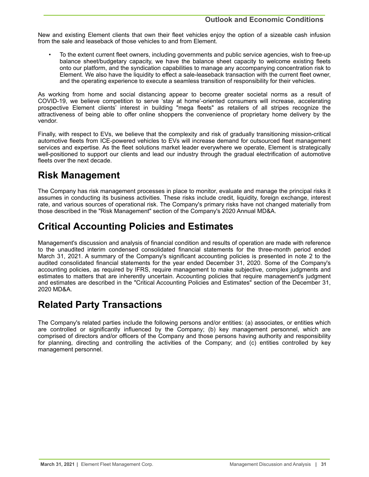<span id="page-30-0"></span>New and existing Element clients that own their fleet vehicles enjoy the option of a sizeable cash infusion from the sale and leaseback of those vehicles to and from Element.

• To the extent current fleet owners, including governments and public service agencies, wish to free-up balance sheet/budgetary capacity, we have the balance sheet capacity to welcome existing fleets onto our platform, and the syndication capabilities to manage any accompanying concentration risk to Element. We also have the liquidity to effect a sale-leaseback transaction with the current fleet owner, and the operating experience to execute a seamless transition of responsibility for their vehicles.

As working from home and social distancing appear to become greater societal norms as a result of COVID-19, we believe competition to serve 'stay at home'-oriented consumers will increase, accelerating prospective Element clients' interest in building "mega fleets" as retailers of all stripes recognize the attractiveness of being able to offer online shoppers the convenience of proprietary home delivery by the vendor.

Finally, with respect to EVs, we believe that the complexity and risk of gradually transitioning mission-critical automotive fleets from ICE-powered vehicles to EVs will increase demand for outsourced fleet management services and expertise. As the fleet solutions market leader everywhere we operate, Element is strategically well-positioned to support our clients and lead our industry through the gradual electrification of automotive fleets over the next decade.

# **Risk Management**

The Company has risk management processes in place to monitor, evaluate and manage the principal risks it assumes in conducting its business activities. These risks include credit, liquidity, foreign exchange, interest rate, and various sources of operational risk. The Company's primary risks have not changed materially from those described in the "Risk Management" section of the Company's 2020 Annual MD&A.

# **Critical Accounting Policies and Estimates**

Management's discussion and analysis of financial condition and results of operation are made with reference to the unaudited interim condensed consolidated financial statements for the three-month period ended March 31, 2021. A summary of the Company's significant accounting policies is presented in note 2 to the audited consolidated financial statements for the year ended December 31, 2020. Some of the Company's accounting policies, as required by IFRS, require management to make subjective, complex judgments and estimates to matters that are inherently uncertain. Accounting policies that require management's judgment and estimates are described in the "Critical Accounting Policies and Estimates" section of the December 31, 2020 MD&A.

# **Related Party Transactions**

The Company's related parties include the following persons and/or entities: (a) associates, or entities which are controlled or significantly influenced by the Company; (b) key management personnel, which are comprised of directors and/or officers of the Company and those persons having authority and responsibility for planning, directing and controlling the activities of the Company; and (c) entities controlled by key management personnel.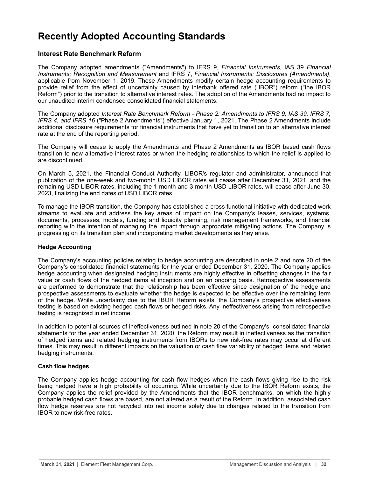# <span id="page-31-0"></span>**Recently Adopted Accounting Standards**

# **Interest Rate Benchmark Reform**

The Company adopted amendments ("Amendments") to IFRS 9, *Financial Instruments*, IAS 39 *Financial Instruments: Recognition and Measurement* and IFRS 7, *Financial Instruments: Disclosures (Amendments)*, applicable from November 1, 2019. These Amendments modify certain hedge accounting requirements to provide relief from the effect of uncertainty caused by interbank offered rate ("IBOR") reform ("the IBOR Reform") prior to the transition to alternative interest rates. The adoption of the Amendments had no impact to our unaudited interim condensed consolidated financial statements.

The Company adopted *Interest Rate Benchmark Reform - Phase 2: Amendments to IFRS 9, IAS 39, IFRS 7, IFRS 4, and IFRS 16* ("Phase 2 Amendments") effective January 1, 2021. The Phase 2 Amendments include additional disclosure requirements for financial instruments that have yet to transition to an alternative interest rate at the end of the reporting period.

The Company will cease to apply the Amendments and Phase 2 Amendments as IBOR based cash flows transition to new alternative interest rates or when the hedging relationships to which the relief is applied to are discontinued.

On March 5, 2021, the Financial Conduct Authority, LIBOR's regulator and administrator, announced that publication of the one-week and two-month USD LIBOR rates will cease after December 31, 2021, and the remaining USD LIBOR rates, including the 1-month and 3-month USD LIBOR rates, will cease after June 30, 2023, finalizing the end dates of USD LIBOR rates.

To manage the IBOR transition, the Company has established a cross functional initiative with dedicated work streams to evaluate and address the key areas of impact on the Company's leases, services, systems, documents, processes, models, funding and liquidity planning, risk management frameworks, and financial reporting with the intention of managing the impact through appropriate mitigating actions. The Company is progressing on its transition plan and incorporating market developments as they arise.

### **Hedge Accounting**

The Company's accounting policies relating to hedge accounting are described in note 2 and note 20 of the Company's consolidated financial statements for the year ended December 31, 2020. The Company applies hedge accounting when designated hedging instruments are highly effective in offsetting changes in the fair value or cash flows of the hedged items at inception and on an ongoing basis. Retrospective assessments are performed to demonstrate that the relationship has been effective since designation of the hedge and prospective assessments to evaluate whether the hedge is expected to be effective over the remaining term of the hedge. While uncertainty due to the IBOR Reform exists, the Company's prospective effectiveness testing is based on existing hedged cash flows or hedged risks. Any ineffectiveness arising from retrospective testing is recognized in net income.

In addition to potential sources of ineffectiveness outlined in note 20 of the Company's consolidated financial statements for the year ended December 31, 2020, the Reform may result in ineffectiveness as the transition of hedged items and related hedging instruments from IBORs to new risk-free rates may occur at different times. This may result in different impacts on the valuation or cash flow variability of hedged items and related hedging instruments.

### **Cash flow hedges**

The Company applies hedge accounting for cash flow hedges when the cash flows giving rise to the risk being hedged have a high probability of occurring. While uncertainty due to the IBOR Reform exists, the Company applies the relief provided by the Amendments that the IBOR benchmarks, on which the highly probable hedged cash flows are based, are not altered as a result of the Reform. In addition, associated cash flow hedge reserves are not recycled into net income solely due to changes related to the transition from IBOR to new risk-free rates.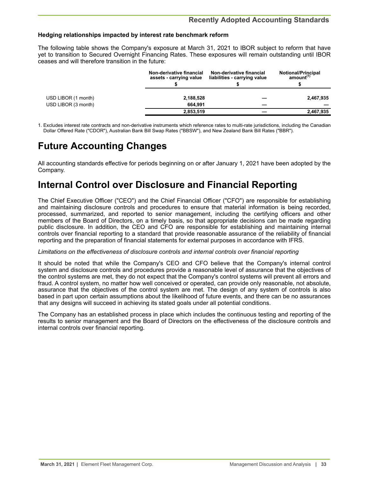### <span id="page-32-0"></span>**Hedging relationships impacted by interest rate benchmark reform**

The following table shows the Company's exposure at March 31, 2021 to IBOR subject to reform that have yet to transition to Secured Overnight Financing Rates. These exposures will remain outstanding until IBOR ceases and will therefore transition in the future:

|                     | Non-derivative financial<br>assets - carrying value | Non-derivative financial<br>liabilities - carrying value | <b>Notional/Principal</b><br>amount <sup>(1)</sup> |
|---------------------|-----------------------------------------------------|----------------------------------------------------------|----------------------------------------------------|
|                     |                                                     |                                                          |                                                    |
| USD LIBOR (1 month) | 2,188,528                                           |                                                          | 2,467,935                                          |
| USD LIBOR (3 month) | 664.991                                             |                                                          |                                                    |
|                     | 2,853,519                                           |                                                          | 2,467,935                                          |

1. Excludes interest rate contracts and non-derivative instruments which reference rates to multi-rate jurisdictions, including the Canadian Dollar Offered Rate ("CDOR"), Australian Bank Bill Swap Rates ("BBSW"), and New Zealand Bank Bill Rates ("BBR").

# **Future Accounting Changes**

All accounting standards effective for periods beginning on or after January 1, 2021 have been adopted by the Company.

# **Internal Control over Disclosure and Financial Reporting**

The Chief Executive Officer ("CEO") and the Chief Financial Officer ("CFO") are responsible for establishing and maintaining disclosure controls and procedures to ensure that material information is being recorded, processed, summarized, and reported to senior management, including the certifying officers and other members of the Board of Directors, on a timely basis, so that appropriate decisions can be made regarding public disclosure. In addition, the CEO and CFO are responsible for establishing and maintaining internal controls over financial reporting to a standard that provide reasonable assurance of the reliability of financial reporting and the preparation of financial statements for external purposes in accordance with IFRS.

### *Limitations on the effectiveness of disclosure controls and internal controls over financial reporting*

It should be noted that while the Company's CEO and CFO believe that the Company's internal control system and disclosure controls and procedures provide a reasonable level of assurance that the objectives of the control systems are met, they do not expect that the Company's control systems will prevent all errors and fraud. A control system, no matter how well conceived or operated, can provide only reasonable, not absolute, assurance that the objectives of the control system are met. The design of any system of controls is also based in part upon certain assumptions about the likelihood of future events, and there can be no assurances that any designs will succeed in achieving its stated goals under all potential conditions.

The Company has an established process in place which includes the continuous testing and reporting of the results to senior management and the Board of Directors on the effectiveness of the disclosure controls and internal controls over financial reporting.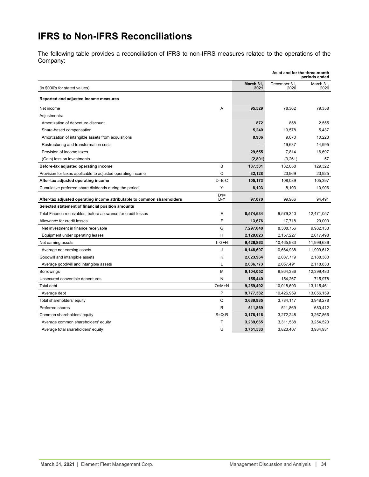# <span id="page-33-0"></span>**IFRS to Non-IFRS Reconciliations**

The following table provides a reconciliation of IFRS to non-IFRS measures related to the operations of the Company:

| As at and for the three-month<br>periods ended                          |              |                   |                      |                   |
|-------------------------------------------------------------------------|--------------|-------------------|----------------------|-------------------|
| (in \$000's for stated values)                                          |              | March 31,<br>2021 | December 31,<br>2020 | March 31,<br>2020 |
| Reported and adjusted income measures                                   |              |                   |                      |                   |
| Net income                                                              | Α            | 95,529            | 78,362               | 79,358            |
| Adjustments:                                                            |              |                   |                      |                   |
| Amortization of debenture discount                                      |              | 872               | 858                  | 2,555             |
| Share-based compensation                                                |              | 5,240             | 19,578               | 5,437             |
| Amortization of intangible assets from acquisitions                     |              | 8,906             | 9,070                | 10,223            |
| Restructuring and transformation costs                                  |              |                   | 19,637               | 14,995            |
| Provision of income taxes                                               |              | 29,555            | 7,814                | 16,697            |
| (Gain) loss on investments                                              |              | (2,801)           | (3,261)              | 57                |
| Before-tax adjusted operating income                                    | B            | 137,301           | 132,058              | 129,322           |
| Provision for taxes applicable to adjusted operating income             | C            | 32,128            | 23,969               | 23,925            |
| After-tax adjusted operating income                                     | $D = B - C$  | 105,173           | 108.089              | 105,397           |
| Cumulative preferred share dividends during the period                  | Y            | 8,103             | 8,103                | 10,906            |
| After-tax adjusted operating income attributable to common shareholders | $D1=$<br>D-Y | 97,070            | 99,986               | 94,491            |
| Selected statement of financial position amounts                        |              |                   |                      |                   |
| Total Finance receivables, before allowance for credit losses           | Ε            | 8,574,634         | 9,579,340            | 12,471,057        |
| Allowance for credit losses                                             | F            | 13,676            | 17,718               | 20,000            |
| Net investment in finance receivable                                    | G            | 7,297,040         | 8,308,756            | 9,982,138         |
| Equipment under operating leases                                        | н            | 2,129,823         | 2,157,227            | 2,017,498         |
| Net earning assets                                                      | $I = G + H$  | 9,426,863         | 10,465,983           | 11,999,636        |
| Average net earning assets                                              | J            | 10,148,697        | 10,664,938           | 11,909,612        |
| Goodwill and intangible assets                                          | Κ            | 2,023,964         | 2,037,719            | 2,188,380         |
| Average goodwill and intangible assets                                  | L            | 2,036,773         | 2,067,491            | 2,118,833         |
| <b>Borrowings</b>                                                       | М            | 9,104,052         | 9,864,336            | 12,399,483        |
| Unsecured convertible debentures                                        | N            | 155,440           | 154,267              | 715,978           |
| <b>Total debt</b>                                                       | $O=M+N$      | 9,259,492         | 10,018,603           | 13,115,461        |
| Average debt                                                            | P            | 9,777,382         | 10,426,959           | 13,056,159        |
| Total shareholders' equity                                              | Q            | 3,689,985         | 3,784,117            | 3,948,278         |
| Preferred shares                                                        | R            | 511,869           | 511,869              | 680,412           |
| Common shareholders' equity                                             | $S = Q - R$  | 3,178,116         | 3,272,248            | 3,267,866         |
| Average common shareholders' equity                                     | Т            | 3,239,665         | 3,311,538            | 3,254,520         |
| Average total shareholders' equity                                      | U            | 3,751,533         | 3,823,407            | 3,934,931         |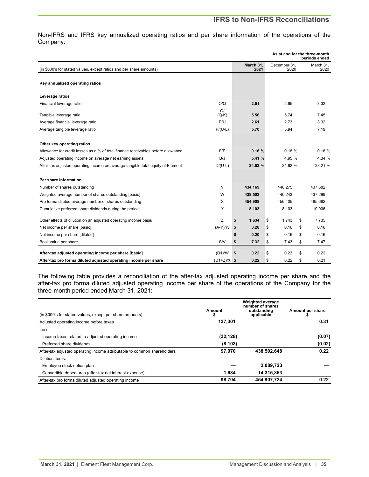Non-IFRS and IFRS key annualized operating ratios and per share information of the operations of the Company:

|                                                                                                                |               |                   |        |                      | As at and for the three-month<br>periods ended |  |
|----------------------------------------------------------------------------------------------------------------|---------------|-------------------|--------|----------------------|------------------------------------------------|--|
| (in \$000's for stated values, except ratios and per share amounts)                                            |               | March 31.<br>2021 |        | December 31.<br>2020 | March 31,<br>2020                              |  |
| Key annualized operating ratios                                                                                |               |                   |        |                      |                                                |  |
| Leverage ratios                                                                                                |               |                   |        |                      |                                                |  |
| Financial leverage ratio                                                                                       | O/Q           | 2.51              |        | 2.65                 | 3.32                                           |  |
| Tangible leverage ratio                                                                                        | O/<br>$(Q-K)$ | 5.56              |        | 5.74                 | 7.45                                           |  |
| Average financial leverage ratio                                                                               | P/U           | 2.61              |        | 2.73                 | 3.32                                           |  |
| Average tangible leverage ratio                                                                                | $P/(U-L)$     | 5.70              |        | 5.94                 | 7.19                                           |  |
|                                                                                                                |               |                   |        |                      |                                                |  |
| Other key operating ratios<br>Allowance for credit losses as a % of total finance receivables before allowance | F/E           | 0.16%             |        | 0.18%                | 0.16%                                          |  |
| Adjusted operating income on average net earning assets                                                        | B/J           | 5.41 %            | 4.95 % |                      | 4.34 %                                         |  |
| After-tax adjusted operating income on average tangible total equity of Element                                | $D/(U-L)$     | 24.53 %           |        | 24.62 %              | 23.21 %                                        |  |
|                                                                                                                |               |                   |        |                      |                                                |  |
| Per share information                                                                                          |               |                   |        |                      |                                                |  |
| Number of shares outstanding                                                                                   | $\vee$        | 434.169           |        | 440.275              | 437.682                                        |  |
| Weighted average number of shares outstanding [basic]                                                          | W             | 438,503           |        | 440.243              | 437,299                                        |  |
| Pro forma diluted average number of shares outstanding                                                         | X             | 454,908           |        | 456,405              | 485,662                                        |  |
| Cumulative preferred share dividends during the period                                                         | Y             | 8,103             |        | 8,103                | 10,906                                         |  |
| Other effects of dilution on an adjusted operating income basis                                                | z             | \$<br>1,634       | \$     | 1,743                | \$<br>7.735                                    |  |
| Net income per share [basic]                                                                                   | $(A-Y)/W$     | \$<br>0.20        | \$     | 0.16                 | \$<br>0.16                                     |  |
| Net income per share [diluted]                                                                                 |               | \$<br>0.20        | \$     | 0.16                 | \$<br>0.16                                     |  |
| Book value per share                                                                                           | S/V           | \$<br>7.32        | \$     | 7.43                 | \$<br>7.47                                     |  |
| After-tax adjusted operating income per share [basic]                                                          | (D1)/W        | \$<br>0.22        | \$     | 0.23                 | \$<br>0.22                                     |  |
| After-tax pro forma diluted adjusted operating income per share                                                | $(D1+Z)/X$ \$ | 0.22              | \$     | 0.22                 | \$<br>0.21                                     |  |

The following table provides a reconciliation of the after-tax adjusted operating income per share and the after-tax pro forma diluted adjusted operating income per share of the operations of the Company for the three-month period ended March 31, 2021:

| (in \$000's for stated values, except per share amounts)                | Amount    | <b>Weighted average</b><br>number of shares<br>outstanding<br>applicable | Amount per share |
|-------------------------------------------------------------------------|-----------|--------------------------------------------------------------------------|------------------|
| Adjusted operating income before taxes                                  | 137.301   |                                                                          | 0.31             |
| Less:                                                                   |           |                                                                          |                  |
| Income taxes related to adjusted operating income                       | (32, 128) |                                                                          | (0.07)           |
| Preferred share dividends                                               | (8, 103)  |                                                                          | (0.02)           |
| After-tax adjusted operating income attributable to common shareholders | 97.070    | 438.502.648                                                              | 0.22             |
| Dilution items:                                                         |           |                                                                          |                  |
| Employee stock option plan                                              |           | 2,089,723                                                                |                  |
| Convertible debentures (after-tax net interest expense)                 | 1.634     | 14,315,353                                                               |                  |
| After-tax pro forma diluted adjusted operating income                   | 98.704    | 454,907,724                                                              | 0.22             |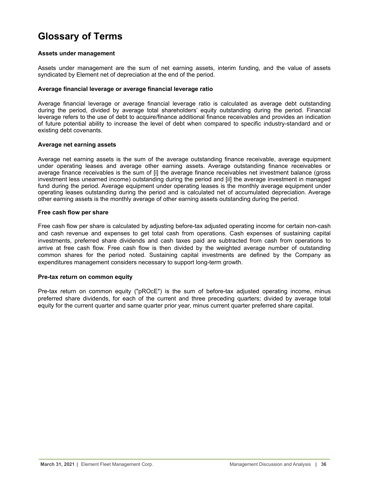# <span id="page-35-0"></span>**Glossary of Terms**

### **Assets under management**

Assets under management are the sum of net earning assets, interim funding, and the value of assets syndicated by Element net of depreciation at the end of the period.

### **Average financial leverage or average financial leverage ratio**

Average financial leverage or average financial leverage ratio is calculated as average debt outstanding during the period, divided by average total shareholders' equity outstanding during the period. Financial leverage refers to the use of debt to acquire/finance additional finance receivables and provides an indication of future potential ability to increase the level of debt when compared to specific industry-standard and or existing debt covenants.

### **Average net earning assets**

Average net earning assets is the sum of the average outstanding finance receivable, average equipment under operating leases and average other earning assets. Average outstanding finance receivables or average finance receivables is the sum of [i] the average finance receivables net investment balance (gross investment less unearned income) outstanding during the period and [ii] the average investment in managed fund during the period. Average equipment under operating leases is the monthly average equipment under operating leases outstanding during the period and is calculated net of accumulated depreciation. Average other earning assets is the monthly average of other earning assets outstanding during the period.

### **Free cash flow per share**

Free cash flow per share is calculated by adjusting before-tax adjusted operating income for certain non-cash and cash revenue and expenses to get total cash from operations. Cash expenses of sustaining capital investments, preferred share dividends and cash taxes paid are subtracted from cash from operations to arrive at free cash flow. Free cash flow is then divided by the weighted average number of outstanding common shares for the period noted. Sustaining capital investments are defined by the Company as expenditures management considers necessary to support long-term growth.

### **Pre-tax return on common equity**

Pre-tax return on common equity ("pROcE") is the sum of before-tax adjusted operating income, minus preferred share dividends, for each of the current and three preceding quarters; divided by average total equity for the current quarter and same quarter prior year, minus current quarter preferred share capital.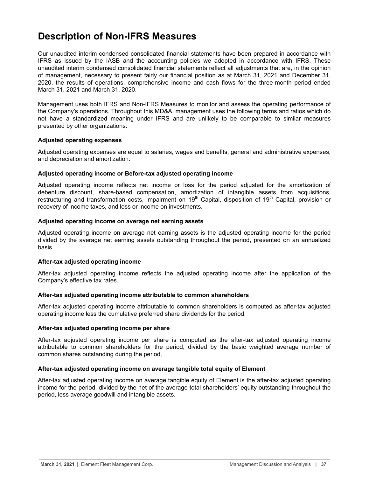# <span id="page-36-0"></span>**Description of Non-IFRS Measures**

Our unaudited interim condensed consolidated financial statements have been prepared in accordance with IFRS as issued by the IASB and the accounting policies we adopted in accordance with IFRS. These unaudited interim condensed consolidated financial statements reflect all adjustments that are, in the opinion of management, necessary to present fairly our financial position as at March 31, 2021 and December 31, 2020, the results of operations, comprehensive income and cash flows for the three-month period ended March 31, 2021 and March 31, 2020.

Management uses both IFRS and Non-IFRS Measures to monitor and assess the operating performance of the Company's operations. Throughout this MD&A, management uses the following terms and ratios which do not have a standardized meaning under IFRS and are unlikely to be comparable to similar measures presented by other organizations:

### **Adjusted operating expenses**

Adjusted operating expenses are equal to salaries, wages and benefits, general and administrative expenses, and depreciation and amortization.

### **Adjusted operating income or Before-tax adjusted operating income**

Adjusted operating income reflects net income or loss for the period adjusted for the amortization of debenture discount, share-based compensation, amortization of intangible assets from acquisitions, restructuring and transformation costs, impairment on 19<sup>th</sup> Capital, disposition of 19<sup>th</sup> Capital, provision or recovery of income taxes, and loss or income on investments.

### **Adjusted operating income on average net earning assets**

Adjusted operating income on average net earning assets is the adjusted operating income for the period divided by the average net earning assets outstanding throughout the period, presented on an annualized basis.

### **After-tax adjusted operating income**

After-tax adjusted operating income reflects the adjusted operating income after the application of the Company's effective tax rates.

### **After-tax adjusted operating income attributable to common shareholders**

After-tax adjusted operating income attributable to common shareholders is computed as after-tax adjusted operating income less the cumulative preferred share dividends for the period.

### **After-tax adjusted operating income per share**

After-tax adjusted operating income per share is computed as the after-tax adjusted operating income attributable to common shareholders for the period, divided by the basic weighted average number of common shares outstanding during the period.

### **After-tax adjusted operating income on average tangible total equity of Element**

After-tax adjusted operating income on average tangible equity of Element is the after-tax adjusted operating income for the period, divided by the net of the average total shareholders' equity outstanding throughout the period, less average goodwill and intangible assets.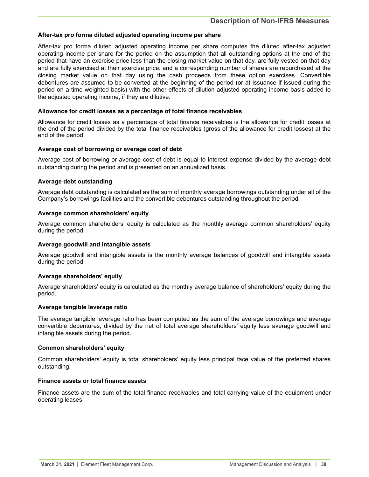### **After-tax pro forma diluted adjusted operating income per share**

After-tax pro forma diluted adjusted operating income per share computes the diluted after-tax adjusted operating income per share for the period on the assumption that all outstanding options at the end of the period that have an exercise price less than the closing market value on that day, are fully vested on that day and are fully exercised at their exercise price, and a corresponding number of shares are repurchased at the closing market value on that day using the cash proceeds from these option exercises. Convertible debentures are assumed to be converted at the beginning of the period (or at issuance if issued during the period on a time weighted basis) with the other effects of dilution adjusted operating income basis added to the adjusted operating income, if they are dilutive.

### **Allowance for credit losses as a percentage of total finance receivables**

Allowance for credit losses as a percentage of total finance receivables is the allowance for credit losses at the end of the period divided by the total finance receivables (gross of the allowance for credit losses) at the end of the period.

### **Average cost of borrowing or average cost of debt**

Average cost of borrowing or average cost of debt is equal to interest expense divided by the average debt outstanding during the period and is presented on an annualized basis.

### **Average debt outstanding**

Average debt outstanding is calculated as the sum of monthly average borrowings outstanding under all of the Company's borrowings facilities and the convertible debentures outstanding throughout the period.

### **Average common shareholders' equity**

Average common shareholders' equity is calculated as the monthly average common shareholders' equity during the period.

### **Average goodwill and intangible assets**

Average goodwill and intangible assets is the monthly average balances of goodwill and intangible assets during the period.

### **Average shareholders' equity**

Average shareholders' equity is calculated as the monthly average balance of shareholders' equity during the period.

### **Average tangible leverage ratio**

The average tangible leverage ratio has been computed as the sum of the average borrowings and average convertible debentures, divided by the net of total average shareholders' equity less average goodwill and intangible assets during the period.

### **Common shareholders' equity**

Common shareholders' equity is total shareholders' equity less principal face value of the preferred shares outstanding.

### **Finance assets or total finance assets**

Finance assets are the sum of the total finance receivables and total carrying value of the equipment under operating leases.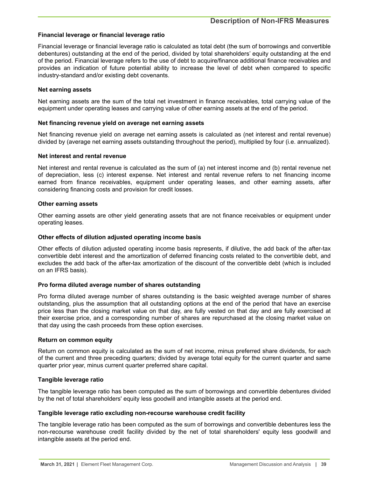### **Financial leverage or financial leverage ratio**

Financial leverage or financial leverage ratio is calculated as total debt (the sum of borrowings and convertible debentures) outstanding at the end of the period, divided by total shareholders' equity outstanding at the end of the period. Financial leverage refers to the use of debt to acquire/finance additional finance receivables and provides an indication of future potential ability to increase the level of debt when compared to specific industry-standard and/or existing debt covenants.

#### **Net earning assets**

Net earning assets are the sum of the total net investment in finance receivables, total carrying value of the equipment under operating leases and carrying value of other earning assets at the end of the period.

### **Net financing revenue yield on average net earning assets**

Net financing revenue yield on average net earning assets is calculated as (net interest and rental revenue) divided by (average net earning assets outstanding throughout the period), multiplied by four (i.e. annualized).

#### **Net interest and rental revenue**

Net interest and rental revenue is calculated as the sum of (a) net interest income and (b) rental revenue net of depreciation, less (c) interest expense. Net interest and rental revenue refers to net financing income earned from finance receivables, equipment under operating leases, and other earning assets, after considering financing costs and provision for credit losses.

#### **Other earning assets**

Other earning assets are other yield generating assets that are not finance receivables or equipment under operating leases.

#### **Other effects of dilution adjusted operating income basis**

Other effects of dilution adjusted operating income basis represents, if dilutive, the add back of the after-tax convertible debt interest and the amortization of deferred financing costs related to the convertible debt, and excludes the add back of the after-tax amortization of the discount of the convertible debt (which is included on an IFRS basis).

### **Pro forma diluted average number of shares outstanding**

Pro forma diluted average number of shares outstanding is the basic weighted average number of shares outstanding, plus the assumption that all outstanding options at the end of the period that have an exercise price less than the closing market value on that day, are fully vested on that day and are fully exercised at their exercise price, and a corresponding number of shares are repurchased at the closing market value on that day using the cash proceeds from these option exercises.

### **Return on common equity**

Return on common equity is calculated as the sum of net income, minus preferred share dividends, for each of the current and three preceding quarters; divided by average total equity for the current quarter and same quarter prior year, minus current quarter preferred share capital.

### **Tangible leverage ratio**

The tangible leverage ratio has been computed as the sum of borrowings and convertible debentures divided by the net of total shareholders' equity less goodwill and intangible assets at the period end.

#### **Tangible leverage ratio excluding non-recourse warehouse credit facility**

The tangible leverage ratio has been computed as the sum of borrowings and convertible debentures less the non-recourse warehouse credit facility divided by the net of total shareholders' equity less goodwill and intangible assets at the period end.